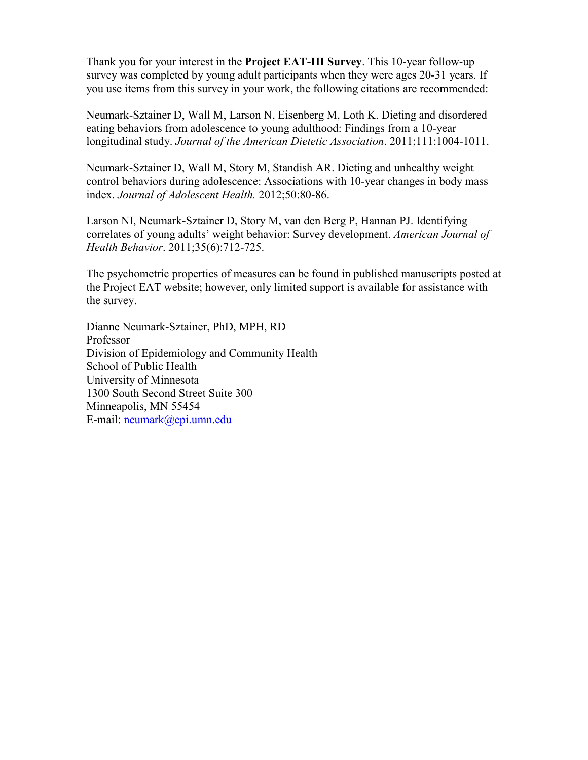Thank you for your interest in the **Project EAT-III Survey**. This 10-year follow-up survey was completed by young adult participants when they were ages 20-31 years. If you use items from this survey in your work, the following citations are recommended:

Neumark-Sztainer D, Wall M, Larson N, Eisenberg M, Loth K. Dieting and disordered eating behaviors from adolescence to young adulthood: Findings from a 10-year longitudinal study. *Journal of the American Dietetic Association*. 2011;111:1004-1011.

Neumark-Sztainer D, Wall M, Story M, Standish AR. Dieting and unhealthy weight control behaviors during adolescence: Associations with 10-year changes in body mass index. *Journal of Adolescent Health.* 2012;50:80-86.

Larson NI, Neumark-Sztainer D, Story M, van den Berg P, Hannan PJ. Identifying correlates of young adults' weight behavior: Survey development. *American Journal of Health Behavior*. 2011;35(6):712-725.

The psychometric properties of measures can be found in published manuscripts posted at the Project EAT website; however, only limited support is available for assistance with the survey.

Dianne Neumark-Sztainer, PhD, MPH, RD Professor Division of Epidemiology and Community Health School of Public Health University of Minnesota 1300 South Second Street Suite 300 Minneapolis, MN 55454 E-mail: [neumark@epi.umn.edu](mailto:neumark@epi.umn.edu)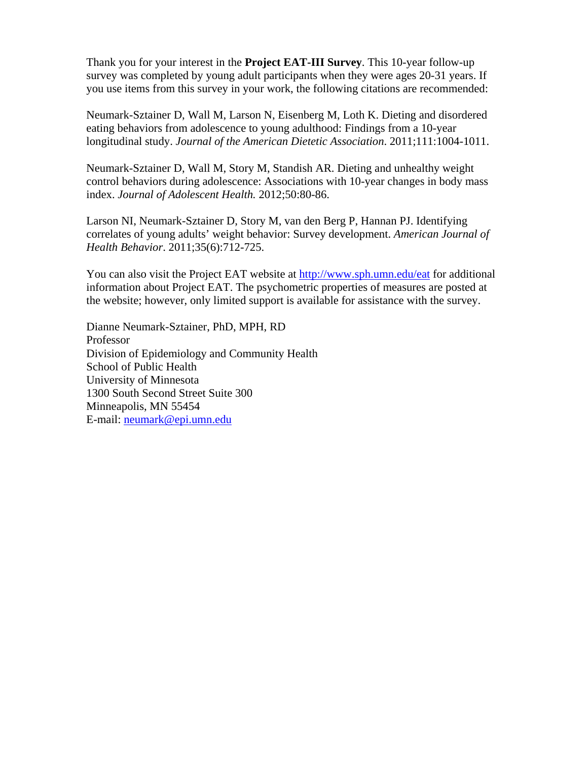Thank you for your interest in the **Project EAT-III Survey**. This 10-year follow-up survey was completed by young adult participants when they were ages 20-31 years. If you use items from this survey in your work, the following citations are recommended:

Neumark-Sztainer D, Wall M, Larson N, Eisenberg M, Loth K. Dieting and disordered eating behaviors from adolescence to young adulthood: Findings from a 10-year longitudinal study. *Journal of the American Dietetic Association*. 2011;111:1004-1011.

Neumark-Sztainer D, Wall M, Story M, Standish AR. Dieting and unhealthy weight control behaviors during adolescence: Associations with 10-year changes in body mass index. *Journal of Adolescent Health.* 2012;50:80-86.

Larson NI, Neumark-Sztainer D, Story M, van den Berg P, Hannan PJ. Identifying correlates of young adults' weight behavior: Survey development. *American Journal of Health Behavior*. 2011;35(6):712-725.

You can also visit the Project EAT website at http://www.sph.umn.edu/eat for additional information about Project EAT. The psychometric properties of measures are posted at the website; however, only limited support is available for assistance with the survey.

Dianne Neumark-Sztainer, PhD, MPH, RD Professor Division of Epidemiology and Community Health School of Public Health University of Minnesota 1300 South Second Street Suite 300 Minneapolis, MN 55454 E-mail: neumark@epi.umn.edu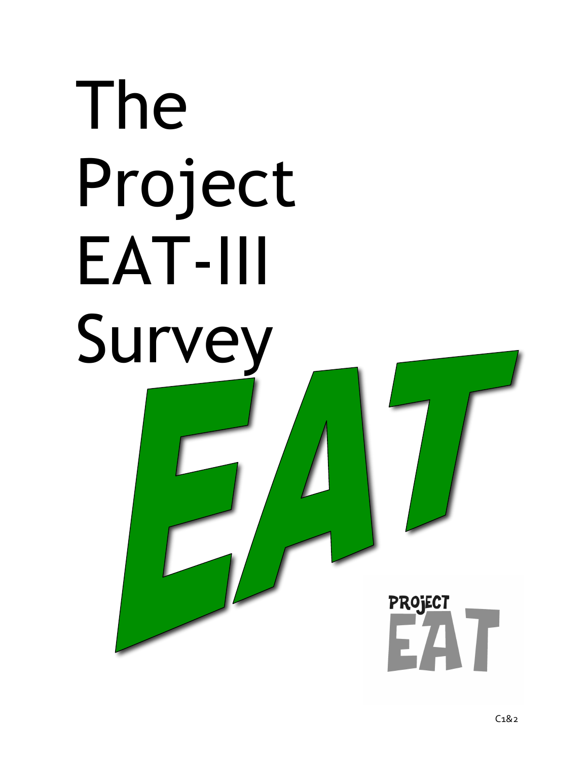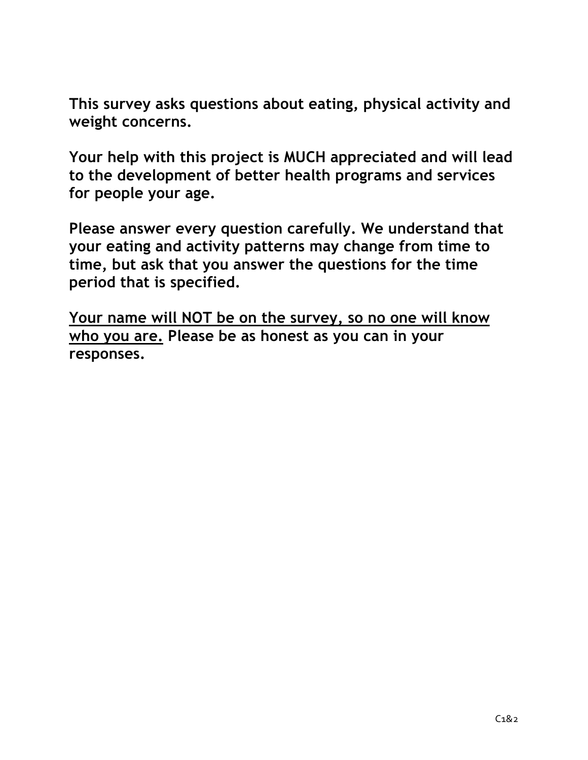**This survey asks questions about eating, physical activity and weight concerns.**

**Your help with this project is MUCH appreciated and will lead to the development of better health programs and services for people your age.**

**Please answer every question carefully. We understand that your eating and activity patterns may change from time to time, but ask that you answer the questions for the time period that is specified.**

**Your name will NOT be on the survey, so no one will know who you are. Please be as honest as you can in your responses.**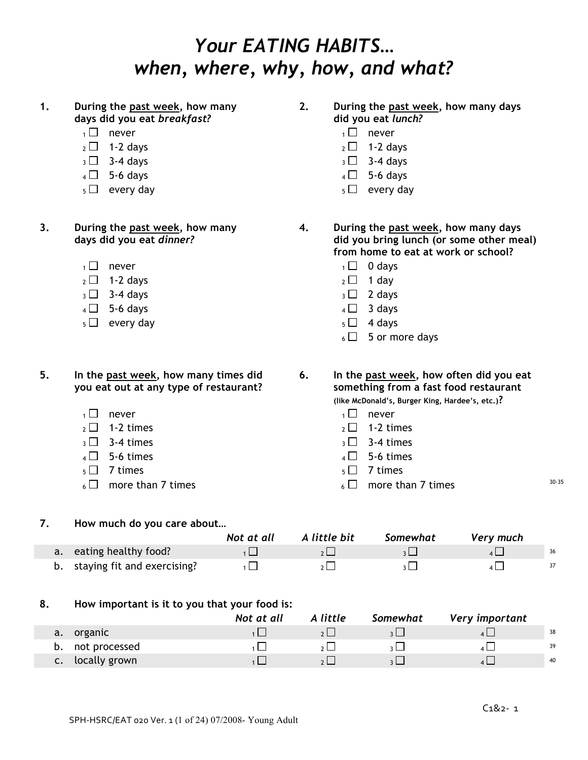### *Your EATING HABITS… when, where, why, how, and what?*

#### **1. During the past week, how many days did you eat** *breakfast?*

- 
- 
- $_3 \Box$  3-4 days  $_3 \Box$  3-4 days
- $4 \Box$  5-6 days  $4 \Box$  5-6 days
- 
- **3. During the past week, how many days did you eat** *dinner?*
	-
	- $_2 \Box$  1-2 days 2 1 day
	- $_3 \Box$  3-4 days  $_3 \Box$  2 days
	- $4 \Box$  5-6 days  $4 \Box$  3 days
	- $5 \Box$  every day  $5 \Box$  4 days

**5. In the past week, how many times did you eat out at any type of restaurant?**

- $\Box$  never  $\Box$  never
- $_2 \Box$  1-2 times 2 1-2 times
- $\overline{3}$  3-4 times  $\overline{3}$  3-4 times
- 
- 
- $6 \Box$  more than 7 times 30-35

**2. During the past week, how many days did you eat** *lunch?*

- $\overline{1}$  never  $\overline{1}$  never
- $2 \square$  1-2 days 2 2 1-2 days
	-
	-
- $5 \Box$  every day  $5 \Box$  every day
	- **4. During the past week, how many days did you bring lunch (or some other meal) from home to eat at work or school?**
		-
		-
		-
		-
		- $6 \square$  5 or more days
	- **6. In the past week, how often did you eat something from a fast food restaurant**

**(like McDonald's, Burger King, Hardee's, etc.)?**

- 
- 
- 
- $4 \Box$  5-6 times  $4 \Box$  5-6 times
- $5 \square$  7 times  $5 \square$  7 times
	-

#### **7. How much do you care about…**

|                                | Not at all | A little bit | Somewhat | Very much |    |
|--------------------------------|------------|--------------|----------|-----------|----|
| a. eating healthy food?        |            |              |          |           | 36 |
| b. staying fit and exercising? |            |              |          |           |    |

#### **8. How important is it to you that your food is:**

|                     | Not at all | A little | Somewhat | Very important |    |
|---------------------|------------|----------|----------|----------------|----|
| organic<br>a.       |            |          |          |                | 38 |
| not processed<br>D. |            |          |          |                | 39 |
| locally grown<br>c. |            |          |          |                | 40 |

- $\overline{1}$  never  $\overline{1}$  0 days
	-
	-
	-
	-
	-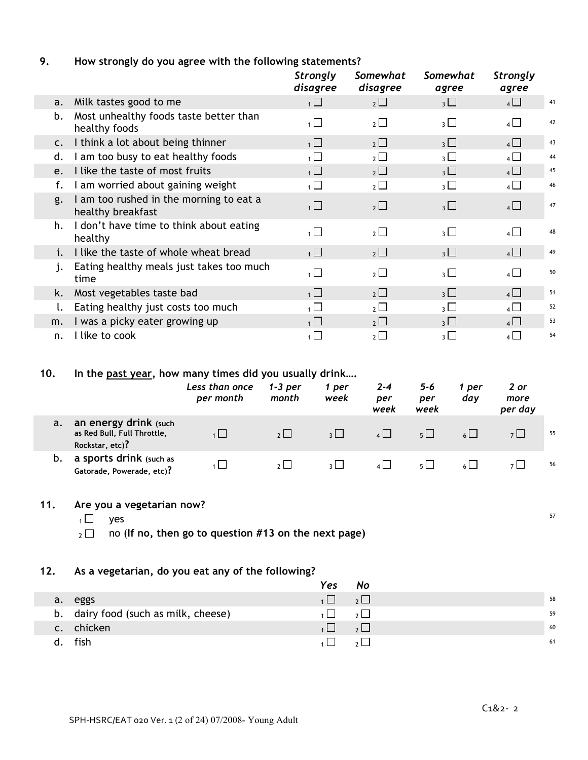#### **9. How strongly do you agree with the following statements?**

|                |                                                              | Strongly<br>disagree | Somewhat<br>disagree  | Somewhat<br>agree        | Strongly<br>agree |    |
|----------------|--------------------------------------------------------------|----------------------|-----------------------|--------------------------|-------------------|----|
| a.             | Milk tastes good to me                                       | $\overline{1}$       | $2 \Box$              | $3 \Box$                 | $4\Box$           | 41 |
| b.             | Most unhealthy foods taste better than<br>healthy foods      | $1 \Box$             | $2 \Box$              | $\overline{\mathcal{E}}$ | $4\Box$           | 42 |
| $\mathsf{C}$ . | I think a lot about being thinner                            | $\overline{1}$       | $2 \Box$              | $3\Box$                  | 4                 | 43 |
| d.             | I am too busy to eat healthy foods                           | $\overline{1}$       | $2\Box$               | $_3$ $\Box$              | $\overline{4}$    | 44 |
| e.             | I like the taste of most fruits                              | $\overline{1}$       | $2\Box$               | $_3$ $\Box$              | $4\Box$           | 45 |
| f.             | I am worried about gaining weight                            | 1                    | $2 \Box$              | 3 <sup>1</sup>           | $4\Box$           | 46 |
| g.             | I am too rushed in the morning to eat a<br>healthy breakfast | $\overline{1}$       | $2\Box$               | $3\Box$                  | $4\Box$           | 47 |
| h.             | I don't have time to think about eating<br>healthy           | 1                    | $2\Box$               | $\overline{3}$           | $\mathbf{A}$      | 48 |
| i.             | I like the taste of whole wheat bread                        | $\overline{1}$       | $2 \Box$              | $_3$ $\Box$              | $4\Box$           | 49 |
| j.             | Eating healthy meals just takes too much<br>time             | $\overline{1}$       | $2\Box$               | $3 \Box$                 | $4\Box$           | 50 |
| k.             | Most vegetables taste bad                                    | 1                    | $2 \Box$              | $3 \Box$                 | $4 \Box$          | 51 |
|                | Eating healthy just costs too much                           | $\overline{1}$       | $2\Box$               | $_3\square$              | $4\Box$           | 52 |
| m.             | I was a picky eater growing up                               | 1                    | $2 \Box$              | 3 <sup>1</sup>           | 4                 | 53 |
| n.             | I like to cook                                               | 1 <sup>1</sup>       | $\overline{2}$ $\Box$ | $_3\Box$                 | $4\Box$           | 54 |

#### **10. In the past year, how many times did you usually drink….**

|    |                                                                         | Less than once<br>per month | $1-3$ per<br>month | 1 per<br>week | $2 - 4$<br>per<br>week | $5 - 6$<br>per<br>week | per<br>dav | 2 or<br>more<br>per day |    |
|----|-------------------------------------------------------------------------|-----------------------------|--------------------|---------------|------------------------|------------------------|------------|-------------------------|----|
| a. | an energy drink (such<br>as Red Bull, Full Throttle,<br>Rockstar, etc)? |                             | 2                  | $\frac{1}{2}$ | 4                      | $5 \mid$               |            |                         | 55 |
| b. | a sports drink (such as<br>Gatorade, Powerade, etc)?                    |                             |                    |               | 4 L I                  | 5 <sub>1</sub>         |            |                         | 56 |

#### **11. Are you a vegetarian now?**

 $_1\Box$  yes  $^{57}$ 

<sup>2</sup> no (**If no, then go to question #13 on the next page)**

#### **12. As a vegetarian, do you eat any of the following?**

|                                      | Yes            | No                                                  |    |
|--------------------------------------|----------------|-----------------------------------------------------|----|
| a. eggs                              | $\overline{1}$ | $\overline{\phantom{a}}$ , $\overline{\phantom{a}}$ | 58 |
| b. dairy food (such as milk, cheese) | $\Box$         | $\overline{\phantom{a}}$                            | 59 |
| c. chicken                           |                | $\overline{\phantom{a}}$                            | 60 |
| fish                                 |                |                                                     | 61 |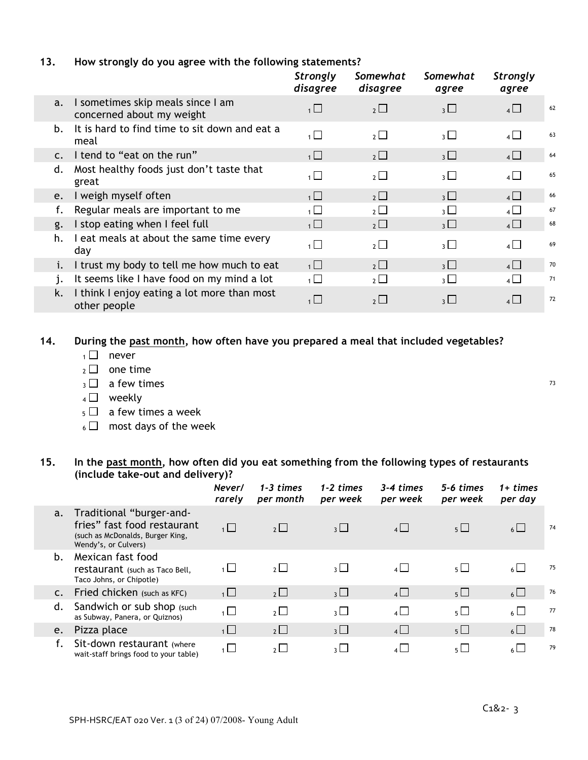#### **13. How strongly do you agree with the following statements?**

|                |                                                                | <b>Strongly</b><br>disagree | Somewhat<br>disagree | Somewhat<br>agree        | <b>Strongly</b><br>agree |    |
|----------------|----------------------------------------------------------------|-----------------------------|----------------------|--------------------------|--------------------------|----|
| a.             | I sometimes skip meals since I am<br>concerned about my weight | $\overline{1}$              | $2\Box$              | $3\Box$                  | $4\Box$                  | 62 |
| b.             | It is hard to find time to sit down and eat a<br>meal          | $\overline{1}$              | $2 \Box$             | $3 \Box$                 | $4\Box$                  | 63 |
| $\mathsf{C}$ . | I tend to "eat on the run"                                     | $\overline{1}$              | $2 \Box$             | 3 <sup>1</sup>           | $4\Box$                  | 64 |
| d.             | Most healthy foods just don't taste that<br>great              | $\overline{1}$              | $2\Box$              | $\overline{3}$ $\Box$    | $4\Box$                  | 65 |
| e.             | I weigh myself often                                           | 1                           | $2 \Box$             | $3 \Box$                 | $4\Box$                  | 66 |
| f.             | Regular meals are important to me                              | $\mathbf{1}$                | $2 \Box$             | 3 <sup>1</sup>           | $4\Box$                  | 67 |
| g.             | I stop eating when I feel full                                 | $\overline{1}$              | $2\Box$              | $_3\Box$                 | $4\Box$                  | 68 |
| h.             | I eat meals at about the same time every<br>day                | $\overline{1}$              | $2\Box$              | $\overline{3}$ $\Box$    | $4 \Box$                 | 69 |
| i.             | I trust my body to tell me how much to eat                     | $\overline{1}$              | $2^{\Box}$           | $\overline{\mathcal{E}}$ | $\overline{4}$           | 70 |
| j.             | It seems like I have food on my mind a lot                     | $\overline{1}$              | $2 \Box$             | 3 <sup>1</sup>           | $4\Box$                  | 71 |
| k.             | I think I enjoy eating a lot more than most<br>other people    | $\overline{1}$              | $2^{\square}$        | $\overline{\mathcal{E}}$ | $4 \Box$                 | 72 |

**14. During the past month, how often have you prepared a meal that included vegetables?**

- $1 \square$  never
- $2 \Box$  one time
- $3 \square$  a few times  $\overline{13}$
- $4 \Box$  weekly
- $_5$   $\Box$  a few times a week
- $6 \Box$  most days of the week

#### **15. In the past month, how often did you eat something from the following types of restaurants (include take-out and delivery)?**

|                |                                                                                                                     | Never/<br>rarely | $1 - 3$ times<br>per month | $1-2 \times$<br>per week | 3-4 times<br>per week | 5-6 times<br>per week | $1+ times$<br>per day |    |
|----------------|---------------------------------------------------------------------------------------------------------------------|------------------|----------------------------|--------------------------|-----------------------|-----------------------|-----------------------|----|
| a.             | Traditional "burger-and-<br>fries" fast food restaurant<br>(such as McDonalds, Burger King,<br>Wendy's, or Culvers) | $1 \Box$         | $2^{\square}$              | $\overline{3}$           | $4\Box$               | $5\Box$               | $6 \Box$              | 74 |
| b.             | Mexican fast food<br>restaurant (such as Taco Bell,<br>Taco Johns, or Chipotle)                                     | $\overline{1}$   | $2\Box$                    | $\overline{\mathcal{E}}$ | $4\Box$               | $5\Box$               | $6 \Box$              | 75 |
| $\mathsf{C}$ . | Fried chicken (such as KFC)                                                                                         | 1                | $2\Box$                    | $3\Box$                  | $4\Box$               | $5\Box$               | $6 \Box$              | 76 |
| d.             | Sandwich or sub shop (such)<br>as Subway, Panera, or Quiznos)                                                       | $\overline{1}$   | $\overline{2}$             | $\overline{3}$ $\Box$    | $4\Box$               | $5\Box$               | $6 \Box$              | 77 |
| e.             | Pizza place                                                                                                         | $\overline{1}$   | $2\Box$                    | $\overline{3}$           | $4\Box$               | $5\Box$               | $6 \Box$              | 78 |
|                | Sit-down restaurant (where<br>wait-staff brings food to your table)                                                 | $\overline{1}$   | $\overline{2}$             | $\overline{\mathcal{E}}$ | $\overline{4}$        | $5\Box$               | $\overline{6}$        | 79 |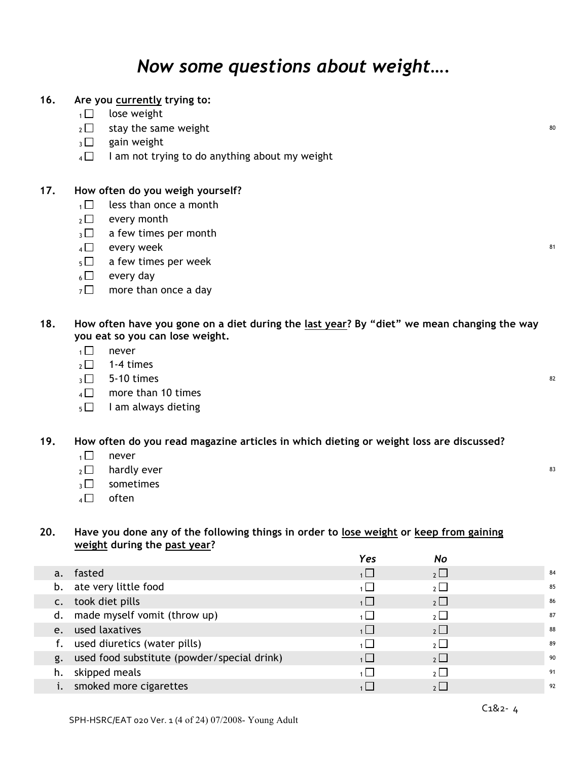### *Now some questions about weight….*

#### **16. Are you currently trying to:**

- $1 \square$  lose weight
- $_2 \Box$  stay the same weight
- $_3\Box$  gain weight
- $4 \Box$  I am not trying to do anything about my weight

#### **17. How often do you weigh yourself?**

- $1 \square$  less than once a month
- $2 \Box$  every month
- $_3\Box$  a few times per month
- $4 \Box$  every week  $^{81}$
- $5 \Box$  a few times per week
- $6 \Box$  every day
- $7 \square$  more than once a day
- 18. How often have you gone on a diet during the last year? By "diet" we mean changing the way **you eat so you can lose weight.**
	- $1 \n\pi$  never
	- $2 \square$  1-4 times
	- $_3\Box$  5-10 times  $^{82}$
	- $4 \square$  more than 10 times
	- $5 \Box$  I am always dieting

#### **19. How often do you read magazine articles in which dieting or weight loss are discussed?**

- $1 \square$  never
- $2 \Box$  hardly ever 83
- $\sqrt{3}$  sometimes
- $4 \Box$  often

#### **20. Have you done any of the following things in order to lose weight or keep from gaining weight during the past year?**

|             |                                             | Yes      | No             |    |
|-------------|---------------------------------------------|----------|----------------|----|
| a.          | fasted                                      | $1 \Box$ | $2\Box$        | 84 |
| b.          | ate very little food                        |          | $2\Box$        | 85 |
| $C_{\star}$ | took diet pills                             | 1        | $2\Box$        | 86 |
| d.          | made myself vomit (throw up)                |          | $2$ $\Box$     | 87 |
| e.          | used laxatives                              | 1        | $2\Box$        | 88 |
|             | used diuretics (water pills)                |          | $\overline{2}$ | 89 |
| g.          | used food substitute (powder/special drink) | 1        | $2\Box$        | 90 |
| h.          | skipped meals                               |          | $2\Box$        | 91 |
|             | smoked more cigarettes                      |          | $2$ $\Box$     | 92 |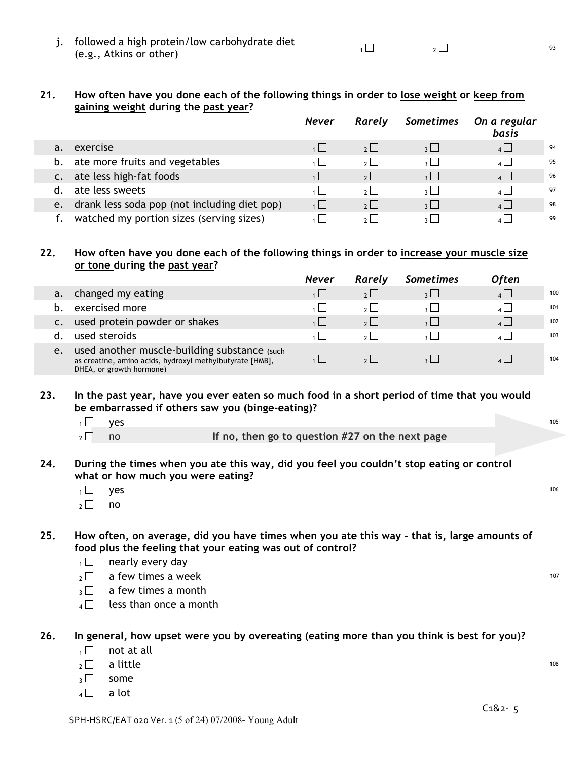| j. followed a high protein/low carbohydrate diet<br>(e.g., Atkins or other) |  |  |  |
|-----------------------------------------------------------------------------|--|--|--|
|-----------------------------------------------------------------------------|--|--|--|

#### 21. How often have you done each of the following things in order to lose weight or keep from **gaining weight during the past year?**

|    |                                              | <b>Never</b> | Rarely            | Sometimes                | On a regular<br>basis |    |
|----|----------------------------------------------|--------------|-------------------|--------------------------|-----------------------|----|
| a. | exercise                                     | 1            | $2 \cup$          | $\overline{\mathcal{E}}$ | $4\Box$               | 94 |
| b. | ate more fruits and vegetables               |              | 2 <sup>1</sup>    | $\frac{1}{2}$            | $\overline{4}$        | 95 |
|    | ate less high-fat foods                      | $1 \mid$     | 2                 | $\vert$ $\vert$          | $\overline{4}$        | 96 |
|    | ate less sweets                              |              | 2 <sup>1</sup>    | $3 \mid$                 | $\overline{4}$        | 97 |
| e. | drank less soda pop (not including diet pop) | 1            | 2                 | $\overline{\mathcal{E}}$ | 4                     | 98 |
|    | watched my portion sizes (serving sizes)     |              | $\sim$ 1 $\sim$ 1 | 211                      | $\overline{1}$        | 99 |

#### **22. How often have you done each of the following things in order to increase your muscle size or tone during the past year?**

|    |                                                                                                                                      | <b>Never</b> | Rarely         | <b>Sometimes</b> | <b>Often</b>   |     |
|----|--------------------------------------------------------------------------------------------------------------------------------------|--------------|----------------|------------------|----------------|-----|
|    | changed my eating                                                                                                                    |              |                |                  | $4 \Box$       | 100 |
|    | exercised more                                                                                                                       |              |                |                  | $\mathbf{A}$   | 101 |
|    | used protein powder or shakes                                                                                                        |              | 2 <sup>1</sup> | $\vert$ $\vert$  | $\lambda$      | 102 |
|    | used steroids                                                                                                                        |              |                |                  | $\overline{A}$ | 103 |
| e. | used another muscle-building substance (such<br>as creatine, amino acids, hydroxyl methylbutyrate [HMB],<br>DHEA, or growth hormone) |              |                |                  |                | 104 |

#### 23. In the past year, have you ever eaten so much food in a short period of time that you would **be embarrassed if others saw you (binge-eating)?**

- $\overline{1}$  yes the set of the set of the set of the set of the set of the set of the set of the set of the set of the set of the set of the set of the set of the set of the set of the set of the set of the set of the set of
- 

<sup>2</sup> no **If no, then go to question #27 on the next page**

#### **24. During the times when you ate this way, did you feel you couldn't stop eating or control what or how much you were eating?**

- $_1\Box$  yes  $^{106}$
- $2 \square$  no

25. How often, on average, did you have times when you ate this way - that is, large amounts of **food plus the feeling that your eating was out of control?**

- $1 \Box$  nearly every day
- $2 \square$  a few times a week 107
- $\sqrt{3}$  a few times a month
- $4 \Box$  less than once a month

#### **26. In general, how upset were you by overeating (eating more than you think is best for you)?**

- $1 \square$  not at all
- $_2\Box$  a little  $^{108}$
- $3 \square$  some
- $4 \Box$  a lot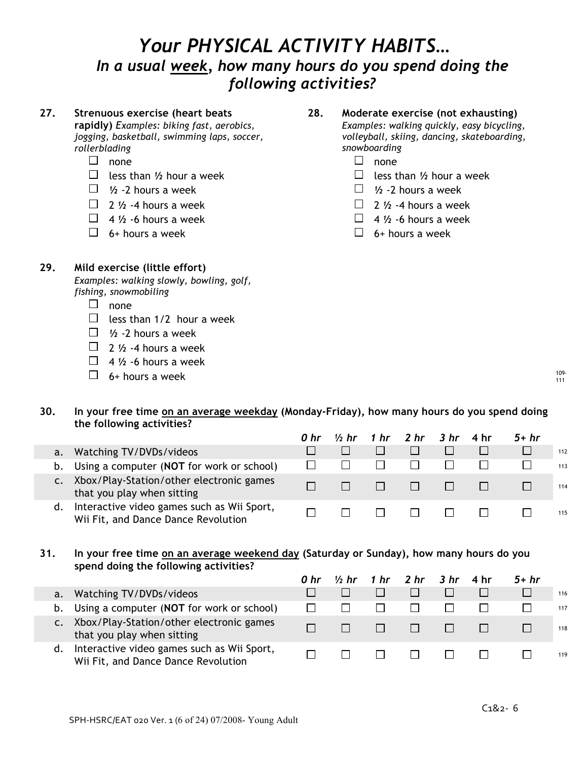### *Your PHYSICAL ACTIVITY HABITS… In a usual week, how many hours do you spend doing the following activities?*

#### **27. Strenuous exercise (heart beats rapidly)** *Examples: biking fast, aerobics, jogging, basketball, swimming laps, soccer, rollerblading* **28. Moderate exercise (not exhausting)** *Examples: walking quickly, easy bicycling, volleyball, skiing, dancing, skateboarding, snowboarding*  $\Box$  none<br> $\Box$  less than 1/2 hour a week  $\Box$  less t  $\Box$  less than  $\frac{1}{2}$  hour a week  $\Box$  1/2 -2 hours a week  $\Box$  1/2 -2 hours a week  $\Box$  2  $\frac{1}{2}$   $\Lambda$  -4 hours a week  $\Box$  2  $\frac{1}{2}$  -4 hours a week  $\Box$  4  $\frac{1}{2}$  -6 hours a week  $\Box$  4  $\frac{1}{2}$  -6 hours a week  $\Box$  6+ hours a week  $\Box$  6+ hours a week **29. Mild exercise (little effort)**

*Examples: walking slowly, bowling, golf, fishing, snowmobiling*

- $\Box$  none
- $\Box$  less than 1/2 hour a week
- $\Box$  1/2 2 hours a week
- $\Box$  2  $\frac{1}{2}$  -4 hours a week
- $\Box$  4  $\frac{1}{2}$  -6 hours a week
- $\Box$  6+ hours a week  $^{109}$

# **30. In your free time on an average weekday (Monday-Friday), how many hours do you spend doing**

|    | the following activities?                                                         |      |         |                                        |              |        |     |
|----|-----------------------------------------------------------------------------------|------|---------|----------------------------------------|--------------|--------|-----|
|    |                                                                                   | 0 hr |         | 1/ <sub>2</sub> hr 1 hr 2 hr 3 hr 4 hr |              | $5+hr$ |     |
| a. | Watching TV/DVDs/videos                                                           |      |         |                                        |              |        | 112 |
| b. | Using a computer (NOT for work or school)                                         |      |         |                                        |              |        | 113 |
|    | Xbox/Play-Station/other electronic games<br>that you play when sitting            |      | $\perp$ | $\Box$                                 | $\mathbf{1}$ |        | 114 |
| d. | Interactive video games such as Wii Sport,<br>Wii Fit, and Dance Dance Revolution |      |         | $\Box$                                 |              |        | 115 |

#### **31. In your free time on an average weekend day (Saturday or Sunday), how many hours do you spend doing the following activities?**

|    |                                                                                   | 0 hr |              | $\frac{1}{2}$ hr 1 hr 2 hr 3 hr 4 hr |                              | $5+hr$ |     |
|----|-----------------------------------------------------------------------------------|------|--------------|--------------------------------------|------------------------------|--------|-----|
|    | a. Watching TV/DVDs/videos                                                        |      |              | $\Box$                               |                              |        | 116 |
|    | b. Using a computer (NOT for work or school)                                      |      |              | $\mathbf{1}$                         |                              |        | 117 |
|    | Xbox/Play-Station/other electronic games<br>that you play when sitting            |      | $\Box$       | <b>All the Second Second</b>         | <b>All the Second Second</b> |        | 118 |
| d. | Interactive video games such as Wii Sport,<br>Wii Fit, and Dance Dance Revolution |      | $\mathbf{L}$ | - 171 -                              | $\Box$                       |        | 119 |

111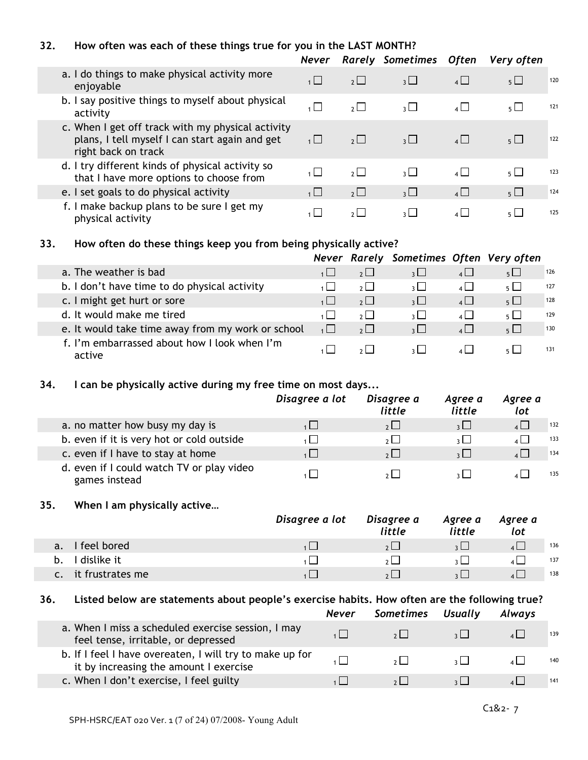#### **32. How often was each of these things true for you in the LAST MONTH?**

|                                                                                                                            | <b>Never</b>   |                | <b>Rarely Sometimes</b>  | Often          | Very often     |     |
|----------------------------------------------------------------------------------------------------------------------------|----------------|----------------|--------------------------|----------------|----------------|-----|
| a. I do things to make physical activity more<br>enjoyable                                                                 | 1              | $2^{\square}$  | 3 <sup>1</sup>           | $4\Box$        | 5 <sub>1</sub> | 120 |
| b. I say positive things to myself about physical<br>activity                                                              | $\overline{1}$ | 2 <sub>2</sub> | 3 $\Box$                 | $\overline{4}$ | $5+$           | 121 |
| c. When I get off track with my physical activity<br>plans, I tell myself I can start again and get<br>right back on track | 1              | $2^{\square}$  | $3 \Box$                 | $\mathbf{A}$   | $5 \Box$       | 122 |
| d. I try different kinds of physical activity so<br>that I have more options to choose from                                |                | $2^{\square}$  | 3 <sup>1</sup>           | $4\Box$        | $5 \Box$       | 123 |
| e. I set goals to do physical activity                                                                                     | 1              | $2\Box$        | 3 <sup>1</sup>           | $4\Box$        | 5 <sub>1</sub> | 124 |
| f. I make backup plans to be sure I get my<br>physical activity                                                            |                | $2^{\mid}$     | $\overline{\mathcal{E}}$ | $\overline{4}$ | 5 <sub>1</sub> | 125 |

#### **33. How often do these things keep you from being physically active?**

|                                                        |                | Never Rarely Sometimes Often Very often |                |                       |     |
|--------------------------------------------------------|----------------|-----------------------------------------|----------------|-----------------------|-----|
| a. The weather is bad                                  | 2              | 3 <sup>1</sup>                          | 4              | $5\Box$               | 126 |
| b. I don't have time to do physical activity           | $2 \mid$       | $\overline{\mathcal{E}}$                | $\overline{4}$ | $5 \Box$              | 127 |
| c. I might get hurt or sore                            | 2              | 3 <sup>1</sup>                          | $4 \Box$       | $5\Box$               | 128 |
| d. It would make me tired                              | 2              | $\overline{\mathcal{E}}$                | $\overline{4}$ | $\overline{5}$        | 129 |
| e. It would take time away from my work or school      | $2^{\square}$  | $\overline{\mathcal{E}}$                | $\overline{4}$ | $\overline{5}$ $\Box$ | 130 |
| f. I'm embarrassed about how I look when I'm<br>active | 2 <sup>1</sup> |                                         |                | $5 \mid$              | 131 |

#### **34. I can be physically active during my free time on most days...**

|                                                            | Disagree a lot | Disagree a<br>little | Agree a<br>little | Agree a<br>lot |     |
|------------------------------------------------------------|----------------|----------------------|-------------------|----------------|-----|
| a. no matter how busy my day is                            |                | $2\perp$             | 3                 | $4 \Box$       | 132 |
| b. even if it is very hot or cold outside                  |                | 2                    | $\frac{1}{2}$     | 133<br>4 L J   |     |
| c. even if I have to stay at home                          |                | $2^{\Box}$           | $\frac{1}{2}$     | 134            |     |
| d. even if I could watch TV or play video<br>games instead |                | 2 <sup>1</sup>       |                   | 135            |     |

#### **35. When I am physically active…**

|                    | Disagree a lot | Disagree a<br>little | Agree a<br>little | Agree a<br>lot |     |
|--------------------|----------------|----------------------|-------------------|----------------|-----|
| feel bored<br>a.   |                | 2 <sub>2</sub>       |                   |                | 136 |
| I dislike it<br>b. |                | 21                   |                   |                | 137 |
| it frustrates me   |                | 2 <sub>1</sub>       |                   |                | 138 |

#### **36. Listed below are statements about people's exercise habits. How often are the following true?**

|                                                                                                    | <b>Never</b> | Sometimes Usually | Always |     |
|----------------------------------------------------------------------------------------------------|--------------|-------------------|--------|-----|
| a. When I miss a scheduled exercise session, I may<br>feel tense, irritable, or depressed          |              | 2                 |        | 139 |
| b. If I feel I have overeaten, I will try to make up for<br>it by increasing the amount I exercise |              | 2                 |        | 140 |
| c. When I don't exercise, I feel guilty                                                            |              |                   |        | 141 |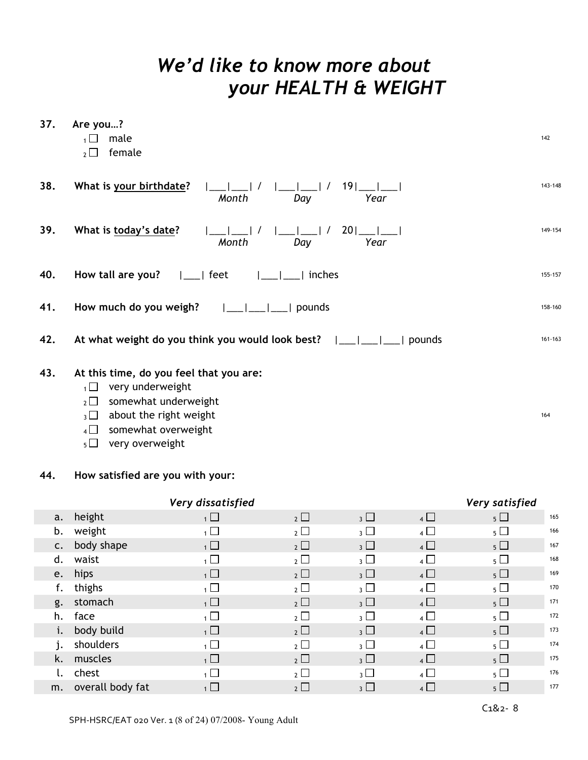### *We'd like to know more about your HEALTH & WEIGHT*

| 37. | Are you?<br>male<br>female<br>$2\Box$                                                                                                                                                                                        | 142                      |
|-----|------------------------------------------------------------------------------------------------------------------------------------------------------------------------------------------------------------------------------|--------------------------|
| 38. | What is your birthdate?<br>$191$ <sub>——</sub><br>$\sqrt{1}$<br>Month<br>Day<br>Year                                                                                                                                         | 143-148                  |
| 39. | What is today's date?<br>201<br>Month<br>Year<br>Day                                                                                                                                                                         | 149-154                  |
| 40. | How tall are you?<br>  feet<br>inches                                                                                                                                                                                        | 155-157                  |
| 41. | How much do you weigh?<br>pounds                                                                                                                                                                                             | 158-160                  |
| 42. | At what weight do you think you would look best?<br>pounds                                                                                                                                                                   | 161-163                  |
| 43. | At this time, do you feel that you are:<br>very underweight<br>$\overline{1}$<br>somewhat underweight<br>$2\Box$<br>about the right weight<br>$\overline{3}$<br>somewhat overweight<br>$4\Box$<br>very overweight<br>$5\Box$ | 164                      |
| 44. | How satisfied are you with your:                                                                                                                                                                                             |                          |
|     | Very dissatisfied                                                                                                                                                                                                            | Very satisfied           |
|     | $\mathbf{r}$ . The set of $\mathbf{r}$<br>$\overline{\phantom{a}}$<br>−<br>─<br>$\overline{\phantom{0}}$                                                                                                                     | $\overline{\phantom{a}}$ |

| a. | height           | $\overline{1}$ | $2 \Box$ | $_3$ $\Box$             | $4\Box$        | $5 \Box$ | 165 |
|----|------------------|----------------|----------|-------------------------|----------------|----------|-----|
| b. | weight           | $\overline{1}$ | $2\Box$  | $_3$ $\Box$             | $\overline{4}$ | $5\Box$  | 166 |
| C. | body shape       | $\overline{1}$ | $2\Box$  | $_3$ $\Box$             | $4\Box$        | $5 \Box$ | 167 |
| d. | waist            | $\overline{1}$ | $2\Box$  | $_3$ $\Box$             | $4\Box$        | $5\Box$  | 168 |
| e. | hips             | $\overline{1}$ | $2\Box$  | $_3$ $\Box$             | $4\Box$        | $5 \Box$ | 169 |
| f. | thighs           | $\overline{1}$ | $2\Box$  | $_3$ $\Box$             | $\overline{4}$ | $5\Box$  | 170 |
|    | g. stomach       | $\overline{1}$ | $2\Box$  | $_3$ $\Box$             | $4\Box$        | $5\Box$  | 171 |
| h. | face             | $\overline{1}$ | $2\Box$  | $_3$ $\Box$             | $\overline{4}$ | $5\Box$  | 172 |
| i. | body build       | $\overline{1}$ | $2\Box$  | $_3$ $\Box$             | $4\Box$        | $5 \Box$ | 173 |
| j. | shoulders        | $\overline{1}$ | $2 \Box$ | $_3$ $\Box$             | $\overline{4}$ | $5\Box$  | 174 |
| k. | muscles          | $\overline{1}$ | $2\Box$  | $_3$ $\Box$             | $4\Box$        | $5 \Box$ | 175 |
|    | chest            | $\overline{1}$ | $2\Box$  | $\overline{\mathbf{3}}$ | $\overline{4}$ | $5\Box$  | 176 |
| m. | overall body fat | $1 \Box$       | $2\Box$  | $_3$ $\Box$             | $\overline{4}$ | $5\Box$  | 177 |
|    |                  |                |          |                         |                |          |     |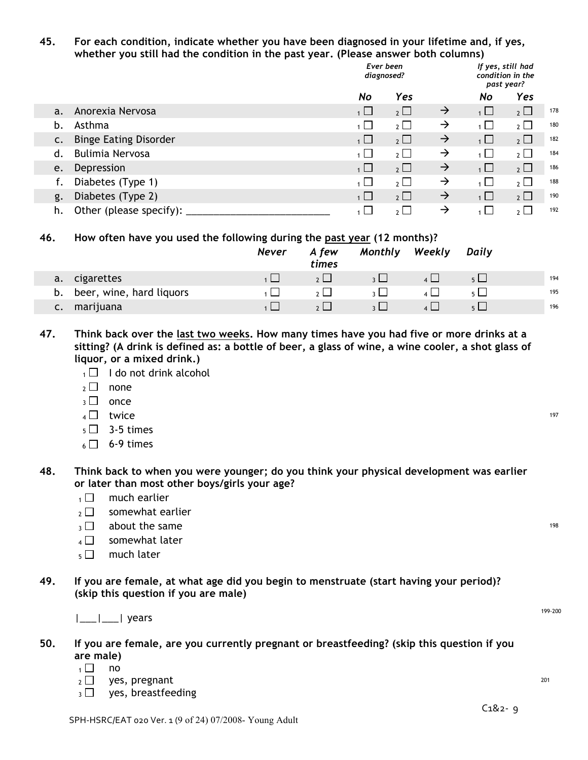#### **45. For each condition, indicate whether you have been diagnosed in your lifetime and, if yes, whether you still had the condition in the past year. (Please answer both columns)**

|                |                              | Ever been<br>diagnosed? |                |               | condition in the | If yes, still had<br>past year? |     |
|----------------|------------------------------|-------------------------|----------------|---------------|------------------|---------------------------------|-----|
|                |                              | No                      | Yes            |               | No               | Yes                             |     |
| a.             | Anorexia Nervosa             | $\overline{1}$          | $2 \Box$       | $\rightarrow$ | $\overline{1}$   | $2\Box$                         | 178 |
| b.             | Asthma                       | $\overline{1}$          | $2 \Box$       | $\rightarrow$ | $\overline{1}$   | $2\Box$                         | 180 |
| $\mathsf{C}$ . | <b>Binge Eating Disorder</b> | $1 \Box$                | $2 \Box$       | $\rightarrow$ | $\overline{1}$   | $2$ $\Box$                      | 182 |
| d.             | <b>Bulimia Nervosa</b>       | 1 ⊔                     | 2 <sub>2</sub> | $\rightarrow$ | $\overline{1}$   | $2$ $\Box$                      | 184 |
| e.             | Depression                   | $\overline{1}$          | $2 \Box$       | $\rightarrow$ | $\overline{1}$   | $2^{\Box}$                      | 186 |
|                | Diabetes (Type 1)            | $\overline{1}$          | 2 <sub>1</sub> | $\rightarrow$ | $\overline{1}$   | $\overline{2}$                  | 188 |
| g.             | Diabetes (Type 2)            | $\overline{1}$          | $2 \Box$       | $\rightarrow$ | $\overline{1}$   | $2\Box$                         | 190 |
| h.             | Other (please specify):      |                         | 2 <sub>l</sub> | $\rightarrow$ | $\overline{1}$   | $2 \Box$                        | 192 |

#### **46. How often have you used the following during the past year (12 months)?**

|    |                          | <b>Never</b> | A few<br>times | Monthly | Weekly | Daily    |     |
|----|--------------------------|--------------|----------------|---------|--------|----------|-----|
| a. | cigarettes               |              |                |         |        | $5 \Box$ | 194 |
| b. | beer, wine, hard liquors |              |                |         |        | $5 \mid$ | 195 |
| c. | marijuana                |              |                |         |        |          | 196 |

47. Think back over the last two weeks. How many times have you had five or more drinks at a sitting? (A drink is defined as: a bottle of beer, a glass of wine, a wine cooler, a shot glass of **liquor, or a mixed drink.)**

- $1 \Box$  I do not drink alcohol
- $2 \square$  none
- $3 \Box$  once
- 4  $\Box$  twice 197
- $5 \square$  3-5 times
- $6 \Box$  6-9 times

**48. Think back to when you were younger; do you think your physical development was earlier or later than most other boys/girls your age?**

- $1 \square$  much earlier
- $2 \nabla$  somewhat earlier
- $\overline{3}$  about the same 198
- $4 \Box$  somewhat later
- $5 \Box$  much later
- **49. If you are female, at what age did you begin to menstruate (start having your period)? (skip this question if you are male)**

|\_\_\_|\_\_\_| years 199-200

- **50. If you are female, are you currently pregnant or breastfeeding? (skip this question if you are male)**
	- $1 \square$  no
	- $2 \square$  yes, pregnant  $201$ <br> $2 \square$  yes, breastfeeding
	- yes, breastfeeding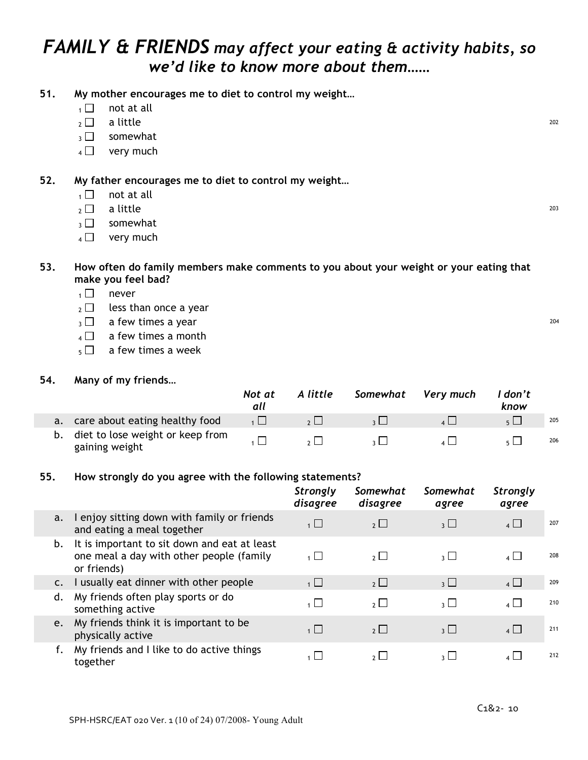### *FAMILY & FRIENDS may affect your eating & activity habits, so we'd like to know more about them……*

- **51. My mother encourages me to diet to control my weight…**
	- $_1 \Box$  not at all
	- $_2$   $\Box$  a little 202
	- $_3\Box$  somewhat
	- $4 \Box$  very much
- **52. My father encourages me to diet to control my weight…**
	- $1 \square$  not at all
	- $_2\Box$  a little  $^{203}$
	- $\overline{3}$  somewhat
	- $4 \Box$  very much

#### **53. How often do family members make comments to you about your weight or your eating that make you feel bad?**

- $1 \square$  never
- $_2 \Box$  less than once a year
- $3 \Box$  a few times a year 204
- $_4 \square$  a few times a month
- $\overline{5}$  a few times a week

#### **54. Many of my friends…**

|    |                                                       | Not at<br>all | A little | Somewhat Very much | l don't<br>know |     |
|----|-------------------------------------------------------|---------------|----------|--------------------|-----------------|-----|
| a. | care about eating healthy food                        |               |          |                    |                 | 205 |
|    | b. diet to lose weight or keep from<br>gaining weight |               |          |                    |                 | 206 |

#### **55. How strongly do you agree with the following statements?**

|                |                                                                                                         | <b>Strongly</b><br>disagree | Somewhat<br>disagree | Somewhat<br>agree       | <b>Strongly</b><br>agree                |     |
|----------------|---------------------------------------------------------------------------------------------------------|-----------------------------|----------------------|-------------------------|-----------------------------------------|-----|
| a.             | I enjoy sitting down with family or friends<br>and eating a meal together                               | $\overline{1}$              | $2^{\square}$        | $_3$ $\Box$             | $4\Box$                                 | 207 |
| b.             | It is important to sit down and eat at least<br>one meal a day with other people (family<br>or friends) | $\overline{1}$              | $2^{\square}$        | $\overline{\mathbf{3}}$ | $\overline{4}$ $\overline{\phantom{0}}$ | 208 |
| $\mathsf{c}$ . | I usually eat dinner with other people                                                                  | $1 \Box$                    | $2 \Box$             | 3                       | $4 \Box$                                | 209 |
| d.             | My friends often play sports or do<br>something active                                                  | 1   I                       | $2^{\square}$        | $\overline{3}$          | $\overline{4}$ $\Box$                   | 210 |
| e.             | My friends think it is important to be<br>physically active                                             | $\overline{1}$              | $2^{\Box}$           | $\overline{\mathbf{3}}$ | $4\Box$                                 | 211 |
|                | My friends and I like to do active things<br>together                                                   |                             | $2^{\Box}$           | $\overline{\mathbf{3}}$ | $\overline{4}$                          | 212 |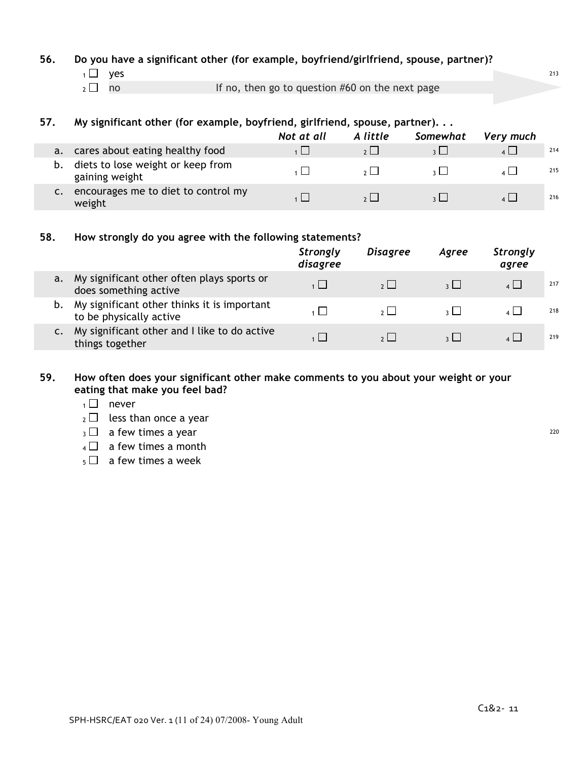#### **56. Do you have a significant other (for example, boyfriend/girlfriend, spouse, partner)?**

- $1 \Box$  yes  $^{213}$
- 

#### **57. My significant other (for example, boyfriend, girlfriend, spouse, partner). . .**

|    |                                                     | Not at all | A little | Somewhat | Very much |     |
|----|-----------------------------------------------------|------------|----------|----------|-----------|-----|
| a. | cares about eating healthy food                     | 1          | 2        |          |           | 214 |
| b. | diets to lose weight or keep from<br>gaining weight |            |          |          |           | 215 |
|    | encourages me to diet to control my<br>weight       |            |          |          |           | 216 |

#### **58. How strongly do you agree with the following statements?**

|    |                                                                        | <b>Strongly</b><br>disagree | <b>Disagree</b> | Agree        | <b>Strongly</b><br>agree |     |
|----|------------------------------------------------------------------------|-----------------------------|-----------------|--------------|--------------------------|-----|
| a. | My significant other often plays sports or<br>does something active    |                             | 2               | $\mathbf{R}$ | $\vert$ $\vert$          | 217 |
|    | My significant other thinks it is important<br>to be physically active |                             | $2 \mid$        | $\sim$ 1     | $\overline{4}$ $\Box$    | 218 |
| c. | My significant other and I like to do active<br>things together        |                             | 2               |              | $4 \mid$                 | 219 |

#### **59. How often does your significant other make comments to you about your weight or your eating that make you feel bad?**

- $1 \square$  never
- $_2 \square$  less than once a year
- $3 \Box$  a few times a year 220
- $4 \Box$  a few times a month
- $5 \Box$  a few times a week

 $2 \Box$  no If no, then go to question #60 on the next page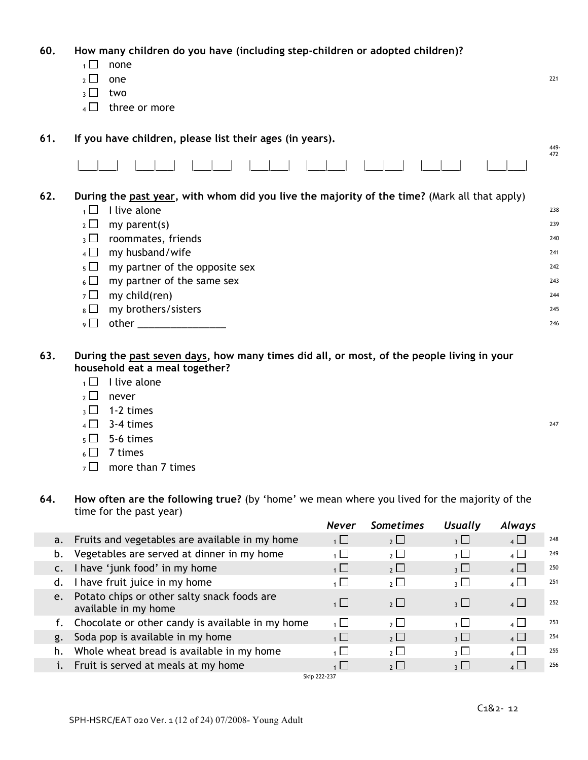| 60. |                          | How many children do you have (including step-children or adopted children)?                 |      |
|-----|--------------------------|----------------------------------------------------------------------------------------------|------|
|     | $1 \Box$                 | none                                                                                         |      |
|     | $2 \Box$                 | one                                                                                          | 221  |
|     | $\overline{\mathcal{E}}$ | two                                                                                          |      |
|     | 4 I                      | three or more                                                                                |      |
| 61. |                          | If you have children, please list their ages (in years).                                     | 449- |
|     |                          |                                                                                              | 472  |
| 62. |                          | During the past year, with whom did you live the majority of the time? (Mark all that apply) |      |
|     | $1$ L                    | I live alone                                                                                 | 238  |
|     | $2 \Box$                 | my parent(s)                                                                                 | 239  |
|     | 3 <sup>1</sup>           | roommates, friends                                                                           | 240  |
|     | $4 \Box$                 | my husband/wife                                                                              | 241  |
|     | $5 \Box$                 | my partner of the opposite sex                                                               | 242  |
|     | $6 \Box$                 | my partner of the same sex                                                                   | 243  |
|     | 7 凵                      | my child(ren)                                                                                | 244  |
|     | 8 L                      | my brothers/sisters                                                                          | 245  |

- <sup>9</sup> other \_\_\_\_\_\_\_\_\_\_\_\_\_\_\_\_ <sup>246</sup>
- 63. During the past seven days, how many times did all, or most, of the people living in your **household eat a meal together?**
	- $1 \square$  I live alone
	- $2 \Box$  never
	- $_3$   $\Box$  1-2 times
	- $4 \Box$  3-4 times 247
	- $5 \square$  5-6 times
	- $6 \square$  7 times
	- $7 \square$  more than 7 times
- **64. How often are the following true?** (by 'home' we mean where you lived for the majority of the time for the past year) *Never Sometimes Usually Always*

|  |                |                                                                     | Never          | Sometimes     | <i><b>Usually</b></i>    | Always                                  |     |
|--|----------------|---------------------------------------------------------------------|----------------|---------------|--------------------------|-----------------------------------------|-----|
|  |                | a. Fruits and vegetables are available in my home                   | $1 \Box$       | $2 \Box$      | 3 <sup>1</sup>           | $4\Box$                                 | 248 |
|  | b.             | Vegetables are served at dinner in my home                          | $\overline{1}$ | $2\Box$       | 3 $\Box$                 | $\overline{4}$ $\overline{\phantom{0}}$ | 249 |
|  | $\mathsf{C}$ . | I have 'junk food' in my home                                       | $\frac{1}{1}$  | $2 \Box$      | $_3$ $\Box$              | $4\Box$                                 | 250 |
|  | d.             | I have fruit juice in my home                                       | $\overline{1}$ | $2 \Box$      | 3 凵                      | $\overline{4}$ $\overline{\phantom{0}}$ | 251 |
|  | $e_{1}$        | Potato chips or other salty snack foods are<br>available in my home | $1 \Box$       | $2^{\square}$ | $_3$ $\Box$              | $\overline{4}$                          | 252 |
|  |                | f. Chocolate or other candy is available in my home                 | $\overline{1}$ | $2^{\square}$ | $\overline{\mathcal{E}}$ | $\overline{4}$                          | 253 |
|  | g.             | Soda pop is available in my home                                    | $1 \Box$       | $2 \Box$      | $_3\sqcup$               | $4 \Box$                                | 254 |
|  | h.             | Whole wheat bread is available in my home                           | $\overline{1}$ | $2 \Box$      | $_3$ $\square$           | $4\Box$                                 | 255 |
|  |                | Fruit is served at meals at my home                                 | 1              | $2^{\square}$ | $\overline{\mathcal{E}}$ | $4 \Box$                                | 256 |
|  |                |                                                                     | Skip 222-237   |               |                          |                                         |     |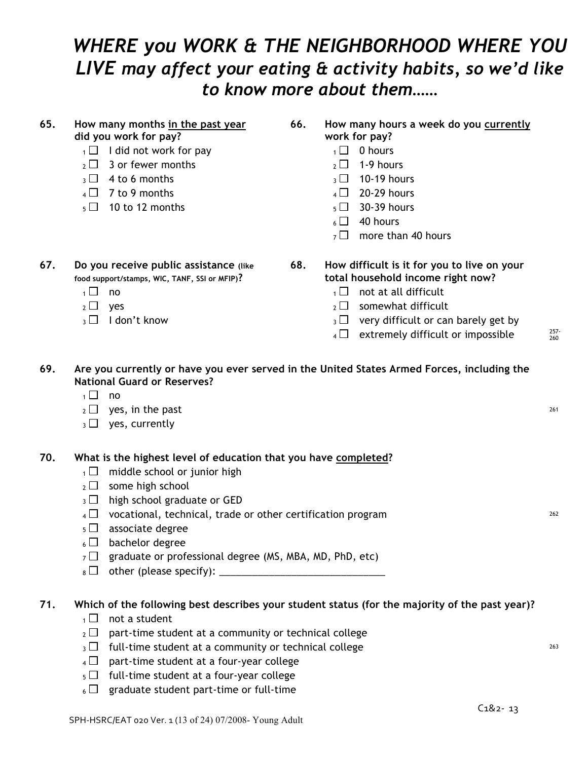### *WHERE you WORK & THE NEIGHBORHOOD WHERE YOU LIVE may affect your eating & activity habits, so we'd like to know more about them……*

#### **65. How many months in the past year did you work for pay?**

#### **66. How many hours a week do you currently**

- **work for pay?**
- $1 \Box$  I did not work for pay 1 0 hours
- $2 \square$  3 or fewer months 2 1-9 hours
- $_3 \Box$  4 to 6 months  $_3 \Box$  10-19 hours
- $4 \Box$  7 to 9 months  $4 \Box$  20-29 hours
- $5 \Box$  10 to 12 months  $5 \Box$  30-39 hours
	- $6 \Box$  40 hours
	- $7 \Box$  more than 40 hours

**67. Do you receive public assistance (like food support/stamps, WIC, TANF, SSI or MFIP)?**

- 
- 
- 

#### **68. How difficult is it for you to live on your total household income right now?**

- $\overline{1 \cup 1}$  no  $\overline{1 \cup 1}$  not at all difficult
- $_2 \Box$  yes  $_2 \Box$  somewhat difficult
- $_3 \Box$  I don't know  $_3 \Box$  very difficult or can barely get by
	- $4 \Box$  extremely difficult or impossible  $257 257$

260

| 69. | Are you currently or have you ever served in the United States Armed Forces, including the |
|-----|--------------------------------------------------------------------------------------------|
|     | <b>National Guard or Reserves?</b>                                                         |
|     |                                                                                            |

- $1 \square$  no
- $2 \Box$  yes, in the past 261
- $_3\Box$  yes, currently

#### **70. What is the highest level of education that you have completed?**

- $1 \Box$  middle school or junior high
- $2 \Box$  some high school
- $_3$   $\Box$  high school graduate or GED
- $4 \Box$  vocational, technical, trade or other certification program  $^{262}$
- $_5$   $\Box$  associate degree
- $6 \Box$  bachelor degree
- $7 \Box$  graduate or professional degree (MS, MBA, MD, PhD, etc)
- $\overline{8}$  other (please specify):

#### **71. Which of the following best describes your student status (for the majority of the past year)?**

- $1 \square$  not a student
- $_2 \Box$  part-time student at a community or technical college
- $3 \Box$  full-time student at a community or technical college  $^{263}$
- $4 \Box$  part-time student at a four-year college
- $_5\Box$  full-time student at a four-year college
- $6 \Box$  graduate student part-time or full-time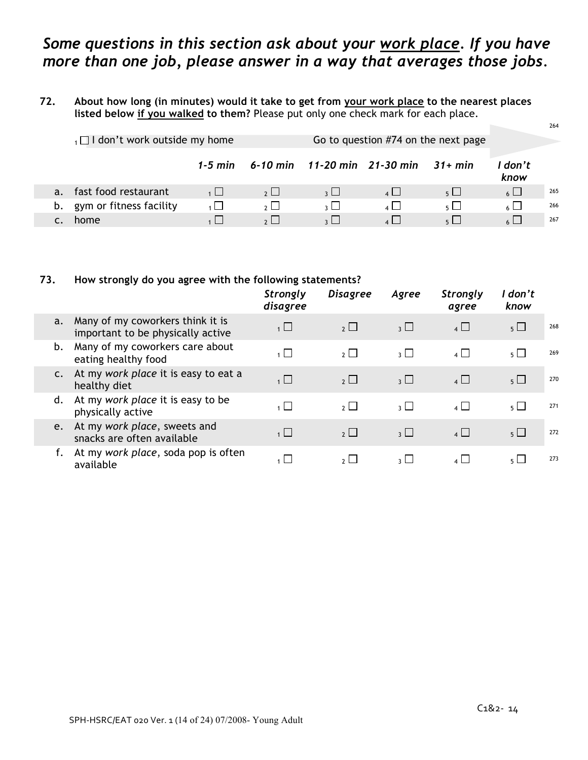### *Some questions in this section ask about your work place. If you have more than one job, please answer in a way that averages those jobs*.

#### 72. About how long (in minutes) would it take to get from your work place to the nearest places **listed below if you walked to them?** Please put only one check mark for each place.

|    |                                       |                |                          |               |                                              |              |                 | 264 |
|----|---------------------------------------|----------------|--------------------------|---------------|----------------------------------------------|--------------|-----------------|-----|
|    | $_1\Box$ I don't work outside my home |                |                          |               |                                              |              |                 |     |
|    |                                       |                |                          |               | 1-5 min 6-10 min 11-20 min 21-30 min 31+ min |              | ' don't<br>know |     |
| a. | fast food restaurant                  | 1              | 2                        | $\mathbf{R}$  | 4                                            | $5 \mid$     | $6 \Box$        | 265 |
| b. | gym or fitness facility               | $\overline{1}$ | $\overline{\mathcal{E}}$ | $\frac{1}{2}$ | $4 \mid$                                     | $5\sqrt{2}$  | $6 \mid$        | 266 |
|    | home                                  |                | $\sim$ 1 1               | $\sim$ 1      | $\lambda$                                    | $\mathsf{L}$ | $\sim$          | 267 |

#### **73. How strongly do you agree with the following statements?**

|                |                                                                       | <b>Strongly</b><br>disagree | <b>Disagree</b> | Agree       | <b>Strongly</b><br>agree                | don't<br>know  |     |
|----------------|-----------------------------------------------------------------------|-----------------------------|-----------------|-------------|-----------------------------------------|----------------|-----|
| a.             | Many of my coworkers think it is<br>important to be physically active | $\overline{1}$              | $2$ $\Box$      | $_3 \Box$   | $4\Box$                                 | 5 <sub>1</sub> | 268 |
| b.             | Many of my coworkers care about<br>eating healthy food                | $\overline{1}$              | $\overline{2}$  | $_3$ $\Box$ | $\overline{4}$                          | $5+$           | 269 |
| C <sub>1</sub> | At my work place it is easy to eat a<br>healthy diet                  | $\overline{1}$              | $\overline{2}$  | $_3$ $\Box$ | $\overline{4}$                          | $5 \Box$       | 270 |
| d.             | At my work place it is easy to be<br>physically active                | $\overline{1}$              | $2^{\mid}$      | $_3$ $\Box$ | $\overline{4}$ $\overline{\phantom{0}}$ | $5 \Box$       | 271 |
| e.             | At my work place, sweets and<br>snacks are often available            | $\overline{1}$              | $2^{\Box}$      | $_3\sqcup$  | $4 \Box$                                | $5 \Box$       | 272 |
|                | At my work place, soda pop is often<br>available                      | $\overline{1}$              | 2 <sup>1</sup>  | $3 \mid$    | $\vert$ $\vert$ $\vert$                 | 5 L.           | 273 |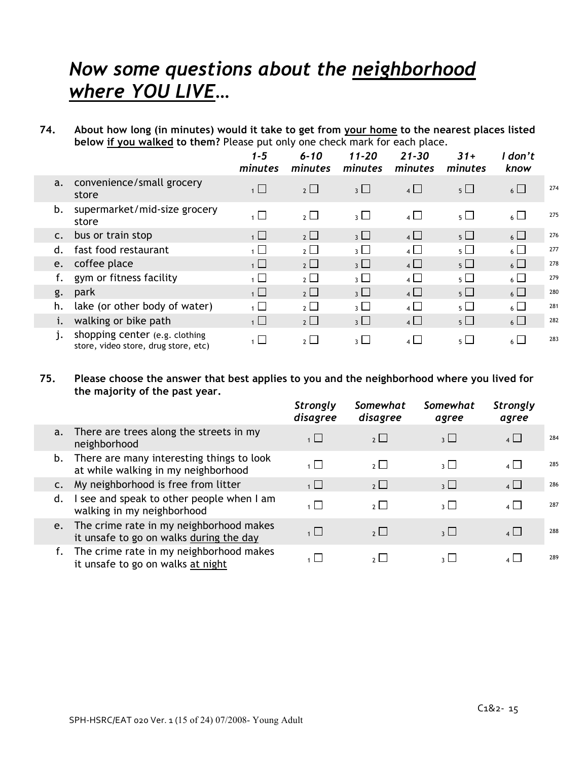### *Now some questions about the neighborhood where YOU LIVE…*

74. About how long (in minutes) would it take to get from your home to the nearest places listed **below if you walked to them?** Please put only one check mark for each place.

|                |                                                                        | $1 - 5$<br>minutes | $6 - 10$<br>minutes   | $11 - 20$<br>minutes | $21 - 30$<br>minutes | $31+$<br>minutes | l don't<br>know |     |
|----------------|------------------------------------------------------------------------|--------------------|-----------------------|----------------------|----------------------|------------------|-----------------|-----|
| a.             | convenience/small grocery<br>store                                     | $1 \Box$           | $2\Box$               | $_3$ $\Box$          | 4                    | $5\Box$          | $6\Box$         | 274 |
| b.             | supermarket/mid-size grocery<br>store                                  | $\overline{1}$     | $\overline{2}$ $\Box$ | $_3$ $\Box$          | $4\Box$              | $5\Box$          | $6\Box$         | 275 |
| $\mathsf{C}$ . | bus or train stop                                                      | 1                  | $2\Box$               | $_3$ $\Box$          | $4\Box$              | $5\Box$          | $6\Box$         | 276 |
| d.             | fast food restaurant                                                   | $\overline{1}$     | $2\Box$               | $\overline{3}$       | $\overline{4}$       | $5\Box$          | $_6$ $\Box$     | 277 |
| e.             | coffee place                                                           | $\overline{1}$     | $2\Box$               | $_3$ $\Box$          | $4\Box$              | $5\Box$          | $6\Box$         | 278 |
|                | gym or fitness facility                                                | $\overline{1}$     | $2\Box$               | $_3$ $\square$       | $\overline{4}$       | $5\Box$          | $6\Box$         | 279 |
| g.             | park                                                                   | $\overline{1}$     | $2\Box$               | $_3$ $\Box$          | $4\Box$              | $5\Box$          | $6\Box$         | 280 |
| h.             | lake (or other body of water)                                          | $\overline{1}$     | $\overline{2}$ $\Box$ | $_3$ $\Box$          | $\overline{4}$       | $5\Box$          | $6\Box$         | 281 |
|                | walking or bike path                                                   | $\overline{1}$     | $2\Box$               | $\overline{3}$       | $4\Box$              | $5\Box$          | $6\Box$         | 282 |
| 1.             | shopping center (e.g. clothing<br>store, video store, drug store, etc) | $\overline{1}$     | $\overline{2}$ $\Box$ | $_3\square$          | $\overline{4}$       | $5\Box$          | $6\Box$         | 283 |

#### **75. Please choose the answer that best applies to you and the neighborhood where you lived for the majority of the past year.**

|                |                                                                                    | <b>Strongly</b><br>disagree | Somewhat<br>disagree | Somewhat<br>agree                       | <b>Strongly</b><br>agree |     |
|----------------|------------------------------------------------------------------------------------|-----------------------------|----------------------|-----------------------------------------|--------------------------|-----|
| a.             | There are trees along the streets in my<br>neighborhood                            | $1 \Box$                    | $2 \Box$             | $\overline{\mathbf{3}}$ $\Box$          | $4\Box$                  | 284 |
| b.             | There are many interesting things to look<br>at while walking in my neighborhood   | $\overline{1}$              | $2^{\square}$        | $_3$ $\Box$                             | $\overline{4}$           | 285 |
| $\mathsf{C}$ . | My neighborhood is free from litter                                                | $\overline{1}$              | $2 \Box$             | $\overline{3}$                          | $4\Box$                  | 286 |
| d.             | I see and speak to other people when I am<br>walking in my neighborhood            | $\overline{1}$              | $2^{\square}$        | $\overline{\mathcal{E}}$                | $4\Box$                  | 287 |
| e.             | The crime rate in my neighborhood makes<br>it unsafe to go on walks during the day | $\overline{1}$              | $2 \Box$             | $\overline{3}$ $\overline{\phantom{0}}$ | $4\Box$                  | 288 |
|                | The crime rate in my neighborhood makes<br>it unsafe to go on walks at night       |                             | $2^{\square}$        | $\overline{\mathcal{E}}$                | $\overline{4}$           | 289 |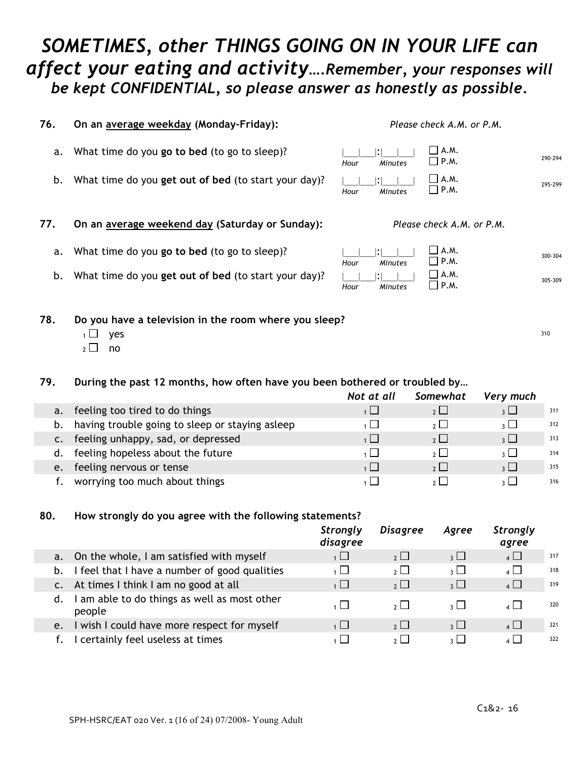### *SOMETIMES, other THINGS GOING ON IN YOUR LIFE can affect your eating and activity….Remember, your responses will be kept CONFIDENTIAL, so please answer as honestly as possible.*

| 76. | On an average weekday (Monday-Friday):                                                               | Please check A.M. or P.M.                               |         |
|-----|------------------------------------------------------------------------------------------------------|---------------------------------------------------------|---------|
| a.  | What time do you go to bed (to go to sleep)?                                                         | $\Box$ A.M.<br>$\Box$ P.M.<br><b>Minutes</b><br>Hour    | 290-294 |
| b.  | What time do you get out of bed (to start your day)?                                                 | $\Box$ A.M.<br>$\square$ P.M.<br><b>Minutes</b><br>Hour | 295-299 |
| 77. | On an average weekend day (Saturday or Sunday):                                                      | Please check A.M. or P.M.                               |         |
| a.  | What time do you go to bed (to go to sleep)?                                                         | $\Box$ A.M.<br>$\square$ P.M.<br>Hour<br><b>Minutes</b> | 300-304 |
| b.  | What time do you get out of bed (to start your day)?                                                 | $\Box$ A.M.<br>$\square$ P.M.<br><b>Minutes</b><br>Hour | 305-309 |
| 78. | Do you have a television in the room where you sleep?<br>yes<br>$\mathsf{L}$<br>no<br>2 <sub>2</sub> |                                                         | 310     |

#### **79. During the past 12 months, how often have you been bothered or troubled by…**

|    |                                                    | Not at all     | Somewhat       | Very much                      |     |
|----|----------------------------------------------------|----------------|----------------|--------------------------------|-----|
| a. | feeling too tired to do things                     |                |                | $\overline{\mathbf{3}}$ $\Box$ | 311 |
|    | b. having trouble going to sleep or staying asleep |                | $2 \mid$       | $\frac{1}{2}$                  | 312 |
|    | c. feeling unhappy, sad, or depressed              |                | 2              | 3 <sup>1</sup>                 | 313 |
|    | d. feeling hopeless about the future               |                | $2 \mid$       | $\frac{1}{2}$                  | 314 |
| e. | feeling nervous or tense                           | $\overline{1}$ | 2 <sup>1</sup> | $\frac{1}{2}$                  | 315 |
|    | worrying too much about things                     |                |                | 2 I I                          | 316 |

#### **80. How strongly do you agree with the following statements?**

|    |                                                      | <b>Strongly</b><br>disagree | <b>Disagree</b> | Agree                          | <b>Strongly</b><br>agree |     |
|----|------------------------------------------------------|-----------------------------|-----------------|--------------------------------|--------------------------|-----|
|    | a. On the whole, I am satisfied with myself          | $\overline{1}$              | $2^{\square}$   | $_3\sqcup$                     | $\overline{4}$           | 317 |
| b. | I feel that I have a number of good qualities        | $\overline{1}$              | $\overline{2}$  | $\overline{\mathcal{E}}$       | $\overline{4}$           | 318 |
|    | At times I think I am no good at all                 | $\overline{1}$              | $2\Box$         | $_3$ $\Box$                    | $4\Box$                  | 319 |
| d. | am able to do things as well as most other<br>people | $\overline{1}$              | 2 <sup>1</sup>  | $\frac{1}{2}$                  | $4 \mid$                 | 320 |
| e. | I wish I could have more respect for myself          | $1 \Box$                    | $2^{\Box}$      | $\overline{\mathbf{3}}$ $\Box$ | $4\Box$                  | 321 |
|    | certainly feel useless at times                      | $1 \mid$                    | $2 \mid$        | $\overline{\mathcal{E}}$       | $4 \mid$                 | 322 |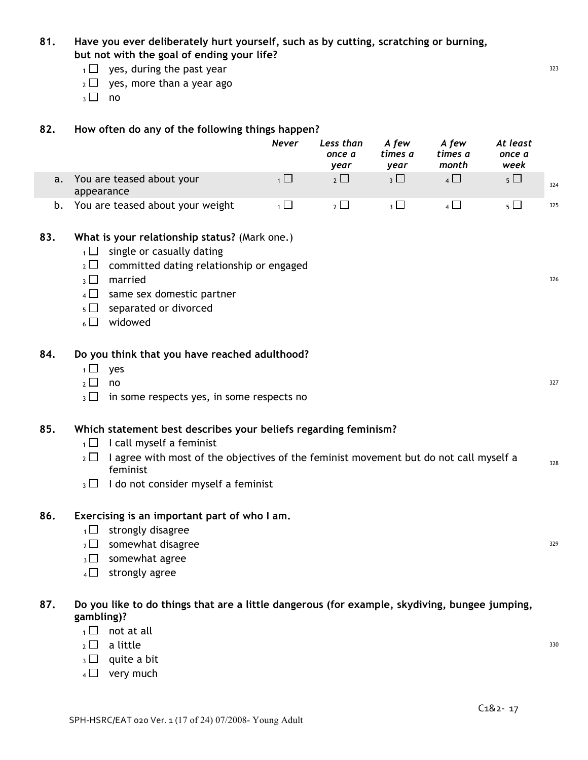#### **81. Have you ever deliberately hurt yourself, such as by cutting, scratching or burning, but not with the goal of ending your life?**

- $1 \Box$  yes, during the past year 323
- $_2 \Box$  yes, more than a year ago
- $3 \Box$  no

#### **82. How often do any of the following things happen?**

|    |                                         | Never | Less than<br>once a<br>year | A few<br>times a<br>vear | A few<br>times a<br>month | At least<br>once a<br>week |     |
|----|-----------------------------------------|-------|-----------------------------|--------------------------|---------------------------|----------------------------|-----|
|    | You are teased about your<br>appearance |       | $2^{\frac{1}{2}}$           |                          |                           | 5 L                        | 324 |
| b. | You are teased about your weight        |       |                             |                          |                           |                            | 325 |

#### **83. What is your relationship status?** (Mark one.)

- $1 \Box$  single or casually dating
- $_2 \Box$  committed dating relationship or engaged
- $3\Box$  married  $326$
- $4 \Box$  same sex domestic partner
- $5 \Box$  separated or divorced
- $6 \Box$  widowed

#### **84. Do you think that you have reached adulthood?**

- $1 \square$  yes
- $2 \Box$  no  $327$
- $_3\Box$  in some respects yes, in some respects no

#### **85. Which statement best describes your beliefs regarding feminism?**

- $1 \Box$  I call myself a feminist
- $_2\,\square\,$  I agree with most of the objectives of the feminist movement but do not call myself a feminist 328<br>feminist
- $_3$   $\Box$  I do not consider myself a feminist

#### **86. Exercising is an important part of who I am.**

- $1 \Box$  strongly disagree
- $2\Box$  somewhat disagree 329
- $_3\Box$  somewhat agree
- $_4\Box$  strongly agree

#### **87. Do you like to do things that are a little dangerous (for example, skydiving, bungee jumping, gambling)?**

- $1 \square$  not at all
- $_2$  a little  $_3$ 330
- $_3\Box$  quite a bit
- $4 \Box$  very much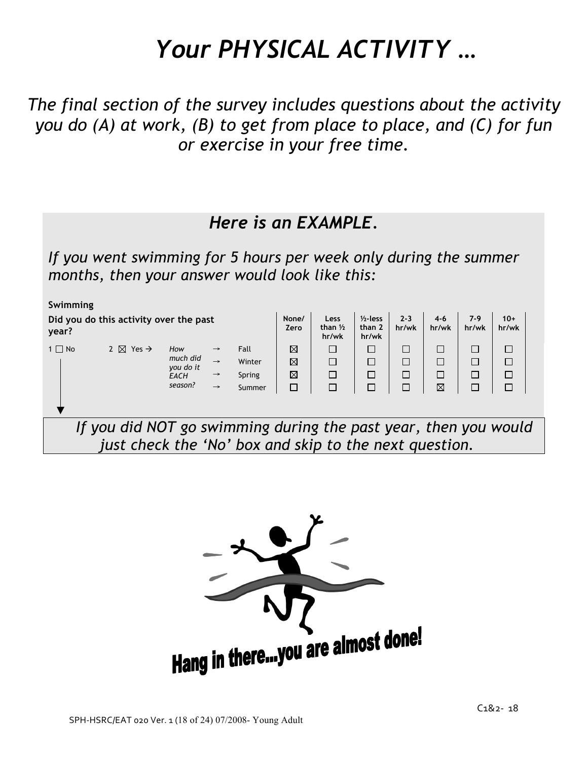# *Your PHYSICAL ACTIVITY …*

*The final section of the survey includes questions about the activity you do (A) at work, (B) to get from place to place, and (C) for fun or exercise in your free time.*

### *Here is an EXAMPLE.*

*If you went swimming for 5 hours per week only during the summer months, then your answer would look like this:*

| Swimming                                        |                                                                 |                       |               |        |               |                                     |                                |                  |                  |                |                |  |
|-------------------------------------------------|-----------------------------------------------------------------|-----------------------|---------------|--------|---------------|-------------------------------------|--------------------------------|------------------|------------------|----------------|----------------|--|
| Did you do this activity over the past<br>year? |                                                                 |                       |               |        | None/<br>Zero | Less<br>than $\frac{1}{2}$<br>hr/wk | $1/2$ -less<br>than 2<br>hr/wk | $2 - 3$<br>hr/wk | $4 - 6$<br>hr/wk | $7-9$<br>hr/wk | $10+$<br>hr/wk |  |
| $1 \Box$ No                                     | 2 $\boxtimes$ Yes $\rightarrow$                                 | How                   | $\rightarrow$ | Fall   | ⊠             | □                                   | □                              |                  | $\Box$           | П              | □              |  |
|                                                 |                                                                 | much did<br>you do it | $\rightarrow$ | Winter | ⊠             | $\Box$                              | $\Box$                         |                  | $\Box$           | П              | $\Box$         |  |
| Spring<br><b>EACH</b><br>$\rightarrow$          |                                                                 |                       |               |        |               | $\Box$                              | $\Box$                         | $\Box$           | $\Box$           | П              | $\Box$         |  |
|                                                 |                                                                 | season?               | $\rightarrow$ | Summer |               | П                                   |                                | П                | $\boxtimes$      |                | $\Box$         |  |
|                                                 |                                                                 |                       |               |        |               |                                     |                                |                  |                  |                |                |  |
|                                                 | If you did NOT go swimming during the past year, then you would |                       |               |        |               |                                     |                                |                  |                  |                |                |  |
|                                                 | just check the 'No' box and skip to the next question.          |                       |               |        |               |                                     |                                |                  |                  |                |                |  |

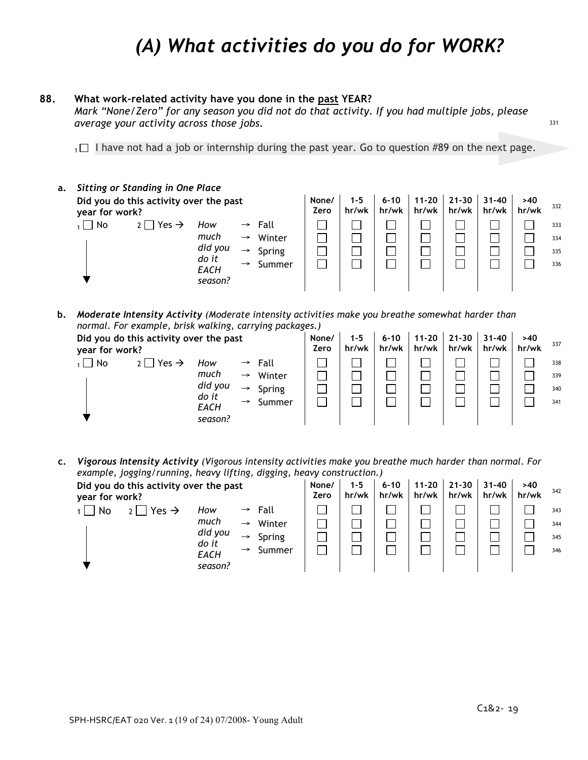### *(A) What activities do you do for WORK?*

#### **88. What work-related activity have you done in the past YEAR?**

*Mark "None/Zero" for any season you did not do that activity. If you had multiple jobs, please average your activity across those jobs.*

 $1 \Box$  I have not had a job or internship during the past year. Go to question #89 on the next page.

| а. |                | <b>Sitting or Standing in One Place</b> |                                 |                                                                  |                                    |                    |                |                    |              |     |  |  |                          |
|----|----------------|-----------------------------------------|---------------------------------|------------------------------------------------------------------|------------------------------------|--------------------|----------------|--------------------|--------------|-----|--|--|--------------------------|
|    | year for work? | Did you do this activity over the past  | None/<br>Zero                   | $1 - 5$<br>hr/wk                                                 | $6 - 10$<br>hr/wk                  | $11 - 20$<br>hr/wk | 21-30<br>hr/wk | $31 - 40$<br>hr/wk | >40<br>hr/wk | 332 |  |  |                          |
|    | $\Box$ No      | $2$   Yes $\rightarrow$                 | How<br>much<br>did you<br>do it | $\rightarrow$<br>$\rightarrow$<br>$\rightarrow$<br>$\rightarrow$ | Fall<br>Winter<br>Spring<br>Summer |                    |                |                    |              |     |  |  | 333<br>334<br>335<br>336 |
|    |                |                                         | EACH<br>season?                 |                                                                  |                                    |                    |                |                    |              |     |  |  |                          |

**b.** *Moderate Intensity Activity (Moderate intensity activities make you breathe somewhat harder than normal. For example, brisk walking, carrying packages.) Committee Committee Committee Committee Committee Committee Committee Committee Committee Committee Committee* in.<br>Salah  $\mathcal{L}^{\text{max}}_{\text{max}}$  $\sim 10^{11}$ 

| Did you do this activity over the past<br>year for work? |                            |               |                         |  | $1 - 5$<br>hr/wk | $6 - 10$<br>hr/wk | $11 - 20$<br>hr/wk | $21 - 30$<br>hr/wk | $31 - 40$<br>hr/wk | >40<br>hr/wk | 337 |
|----------------------------------------------------------|----------------------------|---------------|-------------------------|--|------------------|-------------------|--------------------|--------------------|--------------------|--------------|-----|
| No                                                       | $2 \Box$ Yes $\rightarrow$ | How           | Fall<br>$\rightarrow$   |  |                  |                   |                    |                    |                    |              | 338 |
|                                                          |                            | much          | Winter<br>$\rightarrow$ |  |                  |                   |                    |                    |                    |              | 339 |
|                                                          |                            | did you       | Spring<br>$\rightarrow$ |  |                  |                   |                    |                    |                    |              | 340 |
|                                                          |                            | do it<br>EACH | Summer<br>$\rightarrow$ |  |                  |                   |                    |                    |                    |              | 341 |
|                                                          |                            | season?       |                         |  |                  |                   |                    |                    |                    |              |     |

**c.** *Vigorous Intensity Activity (Vigorous intensity activities make you breathe much harder than normal. For example, jogging/running, heavy lifting, digging, heavy construction.)*

| Did you do this activity over the past<br>year for work? | None/<br>Zero           | $1 - 5$<br>hr/wk | $6 - 10$<br>hr/wk | $11 - 20$<br>hr/wk | 21-30<br>hr/wk | $31 - 40$<br>hr/wk | >40<br>hr/wk | 342 |     |
|----------------------------------------------------------|-------------------------|------------------|-------------------|--------------------|----------------|--------------------|--------------|-----|-----|
| Yes $\rightarrow$<br>No<br>How<br>2 <sub>1</sub>         | Fall<br>$\rightarrow$   |                  |                   |                    |                |                    |              |     | 343 |
| much                                                     | Winter<br>$\rightarrow$ |                  |                   |                    |                |                    |              |     | 344 |
| did you<br>do it                                         | Spring<br>$\rightarrow$ |                  |                   |                    |                |                    |              |     | 345 |
| <b>EACH</b><br>season?                                   | Summer<br>$\rightarrow$ |                  |                   |                    |                |                    |              |     | 346 |

331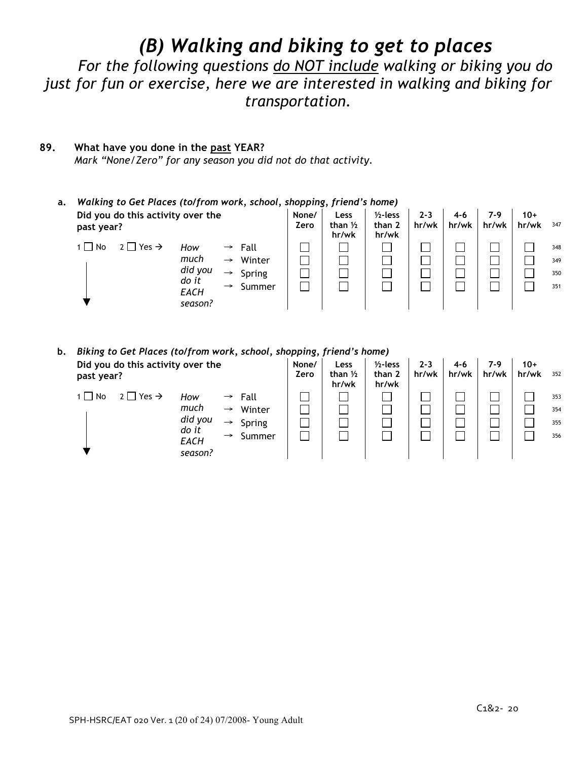### *(B) Walking and biking to get to places*

*For the following questions do NOT include walking or biking you do just for fun or exercise, here we are interested in walking and biking for transportation.*

#### **89. What have you done in the past YEAR?**

*Mark "None/Zero" for any season you did not do that activity.*

#### **a.** *Walking to Get Places (to/from work, school, shopping, friend's home)* **Did you do this activity over the past year? None/ Zero Less than ½ hr/wk ½-less than 2 hr/wk 2-3 hr/wk 4-6 hr/wk 7-9 hr/wk 10+ hr/wk** <sup>347</sup> 1 No 2 Yes → Fall <sup>348</sup>  $\rightarrow$  Winter  $\begin{array}{|c|c|c|c|c|c|}\n\hline\n\rightarrow & \text{Winter} & \begin{array}{|c|c|c|c|c|}\n\hline\n\end{array} & \begin{array}{|c|c|c|c|c|}\n\hline\n\end{array} & \begin{array}{|c|c|c|c|c|}\n\hline\n\end{array} & \begin{array}{|c|c|c|c|}\n\hline\n\end{array} & \begin{array}{|c|c|c|c|}\n\hline\n\end{array} & \begin{array}{|c|c|c|c|}\n\hline\n\end{array} & \begin{array}{|c|c|c|$  $\rightarrow$  Spring  $\begin{array}{|c|c|c|c|c|c|}\hline \ \Box & \Box & \Box & \Box & \Box \end{array}$   $\begin{array}{|c|c|c|c|c|c|}\hline \ \Box & \Box & \Box & \Box \end{array}$   $\begin{array}{|c|c|c|c|c|c|}\hline \ \Box & \Box & \Box & \Box \end{array}$  350 → Summer <sup>351</sup> *How much did you do it EACH season?*

**b.** *Biking to Get Places (to/from work, school, shopping, friend's home)*

| Did you do this activity over the<br>past year? |                                                           | None/<br>Zero                                                                                       | Less<br>than $1/2$<br>hr/wk | $1/2$ -less<br>than 2<br>hr/wk | $2 - 3$<br>hr/wk | 4-6<br>hr/wk | 7-9<br>hr/wk | $10+$<br>hr/wk | 352 |                          |
|-------------------------------------------------|-----------------------------------------------------------|-----------------------------------------------------------------------------------------------------|-----------------------------|--------------------------------|------------------|--------------|--------------|----------------|-----|--------------------------|
| $2 \Box$ Yes $\rightarrow$<br>$1 \square$ No    | How<br>much<br>did you<br>do it<br><b>EACH</b><br>season? | $\rightarrow$ Fall<br>Winter<br>$\rightarrow$<br>Spring<br>$\rightarrow$<br>Summer<br>$\rightarrow$ |                             |                                |                  |              |              |                |     | 353<br>354<br>355<br>356 |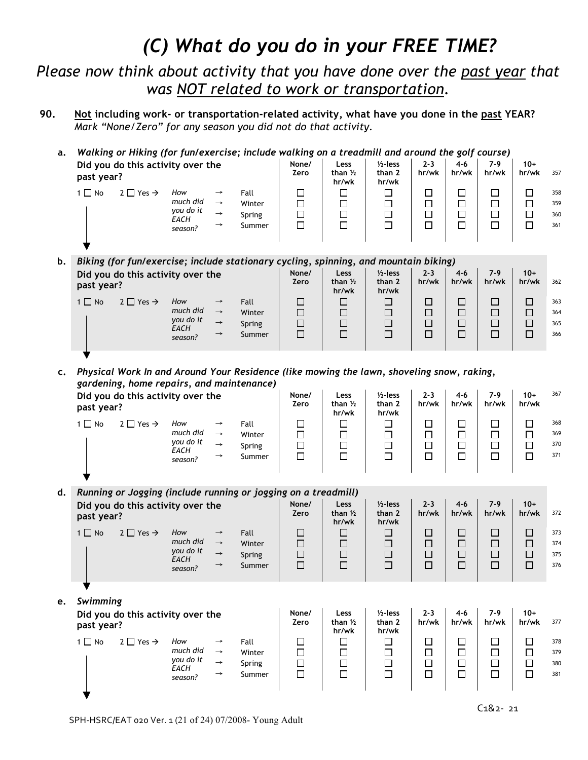### *(C) What do you do in your FREE TIME?*

*Please now think about activity that you have done over the past year that was NOT related to work or transportation.*

- **90. Not including work- or transportation-related activity, what have you done in the past YEAR?** *Mark "None/Zero" for any season you did not do that activity.*
	- **a.** *Walking or Hiking (for fun/exercise; include walking on a treadmill and around the golf course)*

| $\Box$<br>$1 \square$ No<br>$2 \square$ Yes $\rightarrow$<br>How<br>Fall<br>$\rightarrow$<br>much did<br>$\Box$<br>Winter<br>$\rightarrow$<br>you do it<br>□<br>Spring<br>360<br>$\rightarrow$<br>EACH<br>□<br>361<br>Summer<br>$\rightarrow$<br>season? | Did you do this activity over the<br>past year? |  | None/<br>Zero | Less<br>than $1/2$<br>hr/wk | $1/2$ -less<br>than 2<br>hr/wk | $2 - 3$<br>hr/wk | $4 - 6$<br>hr/wk | 7-9<br>hr/wk | $10+$<br>hr/wk | 357 |            |
|----------------------------------------------------------------------------------------------------------------------------------------------------------------------------------------------------------------------------------------------------------|-------------------------------------------------|--|---------------|-----------------------------|--------------------------------|------------------|------------------|--------------|----------------|-----|------------|
|                                                                                                                                                                                                                                                          |                                                 |  |               |                             |                                |                  |                  |              |                |     | 358<br>359 |

**b.** *Biking (for fun/exercise; include stationary cycling, spinning, and mountain biking)* **Did you do this activity over the past year? None/ Zero Less than ½ hr/wk ½-less than 2 hr/wk 2-3 hr/wk 4-6 hr/wk 7-9 hr/wk 10+ hr/wk** 362 1 No 2 Yes → Fall 363 → Winter | ロ | ロ | ロ | ロ | ロ | ロ | ロ 364 → Spring 365 *How much did you do it*

→ Summer | □ | □ | □ | □ | □ | □ | □ 366

**c.** *Physical Work In and Around Your Residence (like mowing the lawn, shoveling snow, raking, gardening, home repairs, and maintenance)*  $\mathcal{L}^{\text{max}}$  $\mathcal{L}_{\rm{max}}$ **Contract Contract Contract**  $\mathcal{L}^{\text{max}}_{\text{max}}$ 

|    | past year?             | Did you do this activity over the                              |                                                        |                                                                  |                                    | None/<br>Zero                        | Less<br>than $1/2$<br>hr/wk          | $1/2$ -less<br>than 2<br>hr/wk       | $2 - 3$<br>hr/wk                | $4 - 6$<br>hr/wk                                                  | $7-9$<br>hr/wk                                                    | $10+$<br>hr/wk                       | 367                      |
|----|------------------------|----------------------------------------------------------------|--------------------------------------------------------|------------------------------------------------------------------|------------------------------------|--------------------------------------|--------------------------------------|--------------------------------------|---------------------------------|-------------------------------------------------------------------|-------------------------------------------------------------------|--------------------------------------|--------------------------|
|    | $1 \Box$ No            | $2 \Box$ Yes $\rightarrow$                                     | How<br>much did<br>you do it<br>EACH<br>season?        | $\rightarrow$<br>$\rightarrow$<br>$\rightarrow$<br>$\rightarrow$ | Fall<br>Winter<br>Spring<br>Summer | $\Box$<br>$\Box$<br>$\Box$<br>$\Box$ | $\Box$<br>$\Box$<br>$\Box$           | $\Box$<br>0<br>0<br>0                | □<br>$\Box$<br>$\Box$           | $\Box$<br>$\Box$<br>$\begin{array}{c}\n\Box \\ \Box\n\end{array}$ | $\Box$<br>$\Box$<br>$\begin{array}{c}\n\Box \\ \Box\n\end{array}$ | $\Box$<br>$\Box$<br>$\Box$<br>$\Box$ | 368<br>369<br>370<br>371 |
| d. |                        | Running or Jogging (include running or jogging on a treadmill) |                                                        |                                                                  |                                    |                                      |                                      |                                      |                                 |                                                                   |                                                                   |                                      |                          |
|    | past year?             | Did you do this activity over the                              |                                                        |                                                                  |                                    | None/<br>Zero                        | Less<br>than $1/2$<br>hr/wk          | $1/2$ -less<br>than 2<br>hr/wk       | $2 - 3$<br>hr/wk                | $4 - 6$<br>hr/wk                                                  | $7-9$<br>hr/wk                                                    | $10+$<br>hr/wk                       | 372                      |
|    | $1 \square$ No         | $2 \Box$ Yes $\rightarrow$                                     | How<br>much did<br>you do it<br><b>EACH</b><br>season? | $\rightarrow$<br>$\rightarrow$<br>$\rightarrow$<br>$\rightarrow$ | Fall<br>Winter<br>Spring<br>Summer | $\Box$<br>$\Box$<br>$\Box$<br>$\Box$ | □<br>$\Box$<br>$\Box$<br>$\Box$      | □<br>$\Box$<br>$\Box$<br>$\Box$      | □<br>$\Box$<br>$\Box$<br>$\Box$ | □<br>$\Box$<br>$\Box$<br>$\Box$                                   | □<br>□<br>$\Box$<br>$\Box$                                        | $\Box$<br>$\Box$<br>$\Box$<br>$\Box$ | 373<br>374<br>375<br>376 |
|    |                        |                                                                |                                                        |                                                                  |                                    |                                      |                                      |                                      |                                 |                                                                   |                                                                   |                                      |                          |
| e. | Swimming<br>past year? | Did you do this activity over the                              |                                                        |                                                                  |                                    | None/<br>Zero                        | Less<br>than $1/2$<br>hr/wk          | $1/2$ -less<br>than 2<br>hr/wk       | $2 - 3$<br>hr/wk                | $4 - 6$<br>hr/wk                                                  | $7-9$<br>hr/wk                                                    | $10+$<br>hr/wk                       | 377                      |
|    | $1 \Box$ No            | $2 \Box$ Yes $\rightarrow$                                     | How<br>much did<br>you do it<br><b>EACH</b><br>season? | $\rightarrow$<br>$\rightarrow$<br>$\rightarrow$<br>$\rightarrow$ | Fall<br>Winter<br>Spring<br>Summer | □<br>$\Box$<br>$\Box$<br>$\Box$      | $\Box$<br>$\Box$<br>$\Box$<br>$\Box$ | $\Box$<br>$\Box$<br>$\Box$<br>$\Box$ | □<br>$\Box$<br>$\Box$<br>$\Box$ | □<br>$\Box$<br>$\Box$<br>$\Box$                                   | □<br>$\Box$<br>$\Box$<br>$\Box$                                   | $\Box$<br>$\Box$<br>$\Box$<br>$\Box$ | 378<br>379<br>380<br>381 |

*EACH season?*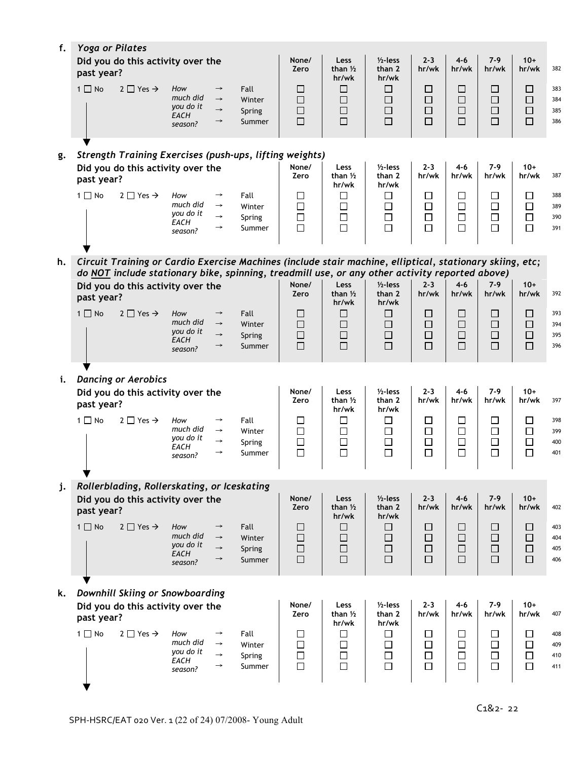| f. | <b>Yoga or Pilates</b> |                                                                                                          |                                                        |                                                                  |                                    |                                 |                                               |                                          |                                      |                                      |                                      |                                 |                          |
|----|------------------------|----------------------------------------------------------------------------------------------------------|--------------------------------------------------------|------------------------------------------------------------------|------------------------------------|---------------------------------|-----------------------------------------------|------------------------------------------|--------------------------------------|--------------------------------------|--------------------------------------|---------------------------------|--------------------------|
|    | past year?             | Did you do this activity over the                                                                        |                                                        |                                                                  | None/<br>Zero                      | Less<br>than $1/2$<br>hr/wk     | $1/2$ -less<br>than 2<br>hr/wk                | $2 - 3$<br>hr/wk                         | $4 - 6$<br>hr/wk                     | $7-9$<br>hr/wk                       | $10+$<br>hr/wk                       | 382                             |                          |
|    | $1 \Box$ No            | $2 \Box$ Yes $\rightarrow$                                                                               | How<br>much did<br>you do it<br><b>EACH</b><br>season? | $\rightarrow$<br>$\rightarrow$<br>$\rightarrow$<br>$\rightarrow$ | Fall<br>Winter<br>Spring<br>Summer | ப<br>$\Box$<br>$\Box$<br>$\Box$ | $\Box$<br>$\Box$<br>□<br>$\Box$               | ⊔<br>$\Box$<br>$\Box$<br>$\Box$          | $\Box$<br>$\Box$<br>$\Box$<br>$\Box$ | ⊔<br>$\Box$<br>$\Box$<br>$\Box$      | ப<br>$\Box$<br>$\Box$<br>$\Box$      | □<br>$\Box$<br>$\Box$<br>$\Box$ | 383<br>384<br>385<br>386 |
| g. |                        | <b>Strength Training Exercises (push-ups, lifting weights)</b>                                           |                                                        |                                                                  |                                    |                                 |                                               |                                          |                                      |                                      |                                      |                                 |                          |
|    | past year?             | Did you do this activity over the                                                                        |                                                        |                                                                  |                                    | None/<br>Zero                   | Less<br>than $1/2$<br>hr/wk                   | $1/2$ -less<br>than 2<br>hr/wk           | $2 - 3$<br>hr/wk                     | $4 - 6$<br>hr/wk                     | $7-9$<br>hr/wk                       | $10+$<br>hr/wk                  | 387                      |
|    | $1 \Box$ No            | $2 \Box$ Yes $\rightarrow$                                                                               | How<br>much did<br>you do it<br>EACH<br>season?        | $\rightarrow$<br>$\rightarrow$<br>$\rightarrow$<br>$\rightarrow$ | Fall<br>Winter<br>Spring<br>Summer | □<br>$\Box$<br>$\Box$<br>$\Box$ | □<br>□<br>$\Box$<br>$\Box$                    | $\Box$<br>$\Box$<br>$\Box$<br>$\Box$     | □<br>$\Box$<br>$\Box$<br>$\Box$      | □<br>$\Box$<br>$\Box$<br>$\Box$      | $\Box$<br>$\Box$<br>$\Box$<br>$\Box$ | □<br>$\Box$<br>$\Box$<br>$\Box$ | 388<br>389<br>390<br>391 |
| h. |                        | Circuit Training or Cardio Exercise Machines (include stair machine, elliptical, stationary skiing, etc; |                                                        |                                                                  |                                    |                                 |                                               |                                          |                                      |                                      |                                      |                                 |                          |
|    |                        | do NOT include stationary bike, spinning, treadmill use, or any other activity reported above)           |                                                        |                                                                  |                                    |                                 |                                               |                                          |                                      |                                      |                                      |                                 |                          |
|    | past year?             | Did you do this activity over the                                                                        |                                                        |                                                                  |                                    | None/<br>Zero                   | Less<br>than $1/2$<br>hr/wk                   | $1/2$ -less<br>than 2<br>hr/wk           | $2 - 3$<br>hr/wk                     | $4 - 6$<br>hr/wk                     | $7-9$<br>hr/wk                       | $10+$<br>hr/wk                  | 392                      |
|    | $1 \Box$ No            | $2 \Box$ Yes $\rightarrow$                                                                               | How<br>much did<br>you do it<br>EACH<br>season?        | $\rightarrow$<br>$\rightarrow$<br>$\rightarrow$<br>$\rightarrow$ | Fall<br>Winter<br>Spring<br>Summer | ப<br>$\Box$<br>$\Box$<br>$\Box$ | ⊔<br>$\Box$<br>□<br>$\Box$                    | ⊔<br>$\Box$<br>$\Box$<br>$\Box$          | $\Box$<br>$\Box$<br>$\Box$<br>$\Box$ | ⊔<br>$\Box$<br>$\Box$<br>$\Box$      | ப<br>$\Box$<br>$\Box$<br>$\Box$      | ப<br>$\Box$<br>$\Box$<br>$\Box$ | 393<br>394<br>395<br>396 |
|    |                        |                                                                                                          |                                                        |                                                                  |                                    |                                 |                                               |                                          |                                      |                                      |                                      |                                 |                          |
| i. | past year?             | <b>Dancing or Aerobics</b><br>Did you do this activity over the                                          |                                                        |                                                                  |                                    | None/<br>Zero                   | Less<br>than $1/2$                            | $1/2$ -less<br>than 2                    | $2 - 3$<br>hr/wk                     | $4 - 6$<br>hr/wk                     | $7-9$<br>hr/wk                       | $10+$<br>hr/wk                  | 397                      |
|    | $1 \Box$ No            | $2 \Box$ Yes $\rightarrow$                                                                               | How<br>much did<br>you do it<br>EACH<br>season?        | $\rightarrow$<br>$\rightarrow$<br>$\rightarrow$<br>$\rightarrow$ | Fall<br>Winter<br>Spring<br>Summer | □<br>$\Box$<br>$\Box$<br>$\Box$ | hr/wk<br>$\Box$<br>$\Box$<br>$\Box$<br>$\Box$ | hr/wk<br>□<br>$\Box$<br>$\Box$<br>$\Box$ | □<br>$\Box$<br>$\Box$<br>$\Box$      | □<br>$\Box$<br>$\Box$<br>$\Box$      | □<br>$\Box$<br>$\Box$<br>$\Box$      | □<br>$\Box$<br>$\Box$<br>$\Box$ | 398<br>399<br>400<br>401 |
| j. |                        | Rollerblading, Rollerskating, or Iceskating                                                              |                                                        |                                                                  |                                    |                                 |                                               |                                          |                                      |                                      |                                      |                                 |                          |
|    | past year?             | Did you do this activity over the                                                                        |                                                        |                                                                  |                                    | None/<br>Zero                   | Less<br>than $1/2$<br>hr/wk                   | $1/2$ -less<br>than 2<br>hr/wk           | $2 - 3$<br>hr/wk                     | $4 - 6$<br>hr/wk                     | $7-9$<br>hr/wk                       | $10+$<br>hr/wk                  | 402                      |
|    | $1 \Box$ No            | $2 \Box$ Yes $\rightarrow$                                                                               | How<br>much did<br>you do it<br>EACH<br>season?        | $\rightarrow$<br>$\rightarrow$<br>$\rightarrow$<br>$\rightarrow$ | Fall<br>Winter<br>Spring<br>Summer | □<br>$\Box$<br>$\Box$<br>$\Box$ | $\Box$<br>$\Box$<br>$\Box$<br>$\Box$          | □<br>$\Box$<br>$\Box$<br>$\Box$          | $\Box$<br>$\Box$<br>$\Box$<br>$\Box$ | $\Box$<br>$\Box$<br>$\Box$<br>$\Box$ | □<br>$\Box$<br>$\Box$<br>$\Box$      | □<br>$\Box$<br>$\Box$<br>$\Box$ | 403<br>404<br>405<br>406 |
|    |                        |                                                                                                          |                                                        |                                                                  |                                    |                                 |                                               |                                          |                                      |                                      |                                      |                                 |                          |
| k. | past year?             | Downhill Skiing or Snowboarding<br>Did you do this activity over the                                     |                                                        |                                                                  |                                    | None/<br>Zero                   | Less<br>than $1/2$                            | $1/2$ -less<br>than 2                    | $2 - 3$<br>hr/wk                     | $4 - 6$<br>hr/wk                     | $7-9$<br>hr/wk                       | $10+$<br>hr/wk                  | 407                      |
|    | $1 \square$ No         | $2 \Box$ Yes $\rightarrow$                                                                               | How<br>much did<br>you do it<br>EACH<br>season?        | $\rightarrow$<br>$\rightarrow$<br>$\rightarrow$<br>$\rightarrow$ | Fall<br>Winter<br>Spring<br>Summer | □<br>$\Box$<br>$\Box$<br>$\Box$ | hr/wk<br>□<br>□<br>$\Box$<br>$\Box$           | hr/wk<br>□<br>$\Box$<br>$\Box$<br>$\Box$ | □<br>$\Box$<br>$\Box$<br>$\Box$      | □<br>□<br>$\Box$<br>$\Box$           | □<br>$\Box$<br>$\Box$<br>$\Box$      | □<br>$\Box$<br>$\Box$<br>$\Box$ | 408<br>409<br>410<br>411 |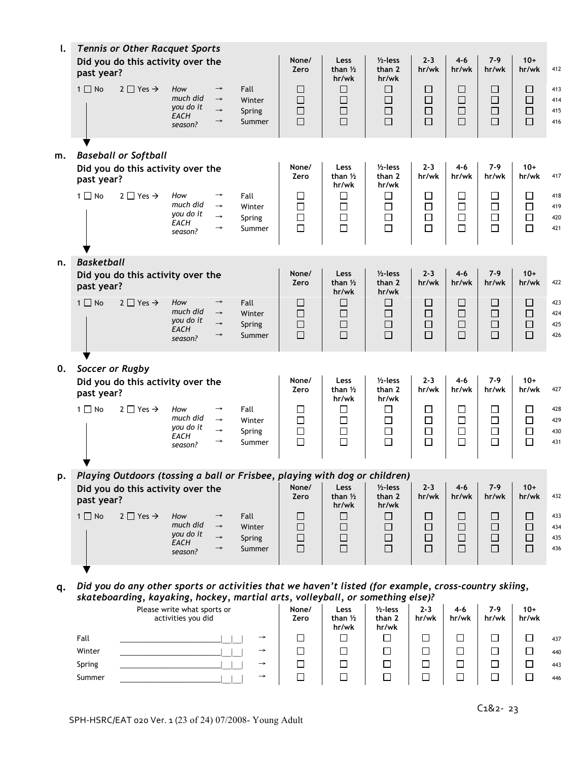| l. | past year?        | <b>Tennis or Other Racquet Sports</b><br>Did you do this activity over the                           |                                                        |                                                                  |                                    | None/<br>Zero                        | Less<br>than $1/2$<br>hr/wk              | $1/2$ -less<br>than 2<br>hr/wk                | $2 - 3$<br>hr/wk                     | $4 - 6$<br>hr/wk                     | $7-9$<br>hr/wk                       | $10+$<br>hr/wk                       | 412                      |
|----|-------------------|------------------------------------------------------------------------------------------------------|--------------------------------------------------------|------------------------------------------------------------------|------------------------------------|--------------------------------------|------------------------------------------|-----------------------------------------------|--------------------------------------|--------------------------------------|--------------------------------------|--------------------------------------|--------------------------|
|    | $1 \square$ No    | $2 \Box$ Yes $\rightarrow$                                                                           | How<br>much did<br>you do it<br><b>EACH</b><br>season? | $\rightarrow$<br>$\rightarrow$<br>$\rightarrow$<br>$\rightarrow$ | Fall<br>Winter<br>Spring<br>Summer | П<br>□<br>□<br>$\Box$                | $\Box$<br>$\Box$<br>$\Box$<br>$\Box$     | □<br>$\Box$<br>$\Box$<br>$\Box$               | □<br>$\Box$<br>$\Box$<br>$\Box$      | □<br>$\Box$<br>$\Box$<br>$\Box$      | □<br>$\Box$<br>$\Box$<br>$\Box$      | П<br>$\Box$<br>$\Box$<br>$\Box$      | 413<br>414<br>415<br>416 |
| m. | past year?        | <b>Baseball or Softball</b><br>Did you do this activity over the                                     |                                                        |                                                                  |                                    | None/<br>Zero                        | Less<br>than 1/2                         | $1/2$ -less<br>than 2                         | $2 - 3$<br>hr/wk                     | $4 - 6$<br>hr/wk                     | $7-9$<br>hr/wk                       | $10+$<br>hr/wk                       | 417                      |
|    | $1 \square$ No    | $2 \Box$ Yes $\rightarrow$                                                                           | How<br>much did<br>you do it<br>EACH<br>season?        | $\rightarrow$<br>$\rightarrow$<br>$\rightarrow$<br>$\rightarrow$ | Fall<br>Winter<br>Spring<br>Summer | $\Box$<br>$\Box$<br>$\Box$<br>□      | hr/wk<br>$\Box$<br>$\Box$<br>$\Box$<br>□ | hr/wk<br>$\Box$<br>$\Box$<br>$\Box$<br>$\Box$ | $\Box$<br>$\Box$<br>$\Box$<br>$\Box$ | $\Box$<br>$\Box$<br>$\Box$<br>$\Box$ | □<br>$\Box$<br>$\Box$<br>$\Box$      | $\Box$<br>$\Box$<br>$\Box$<br>$\Box$ | 418<br>419<br>420<br>421 |
| n. | <b>Basketball</b> |                                                                                                      |                                                        |                                                                  |                                    |                                      |                                          | $1/2$ -less                                   |                                      | $4 - 6$                              | $7-9$                                | $10+$                                |                          |
|    | past year?        | Did you do this activity over the                                                                    |                                                        |                                                                  |                                    | None/<br>Zero                        | Less<br>than $1/2$<br>hr/wk              | than 2<br>hr/wk                               | $2 - 3$<br>hr/wk                     | hr/wk                                | hr/wk                                | hr/wk                                | 422                      |
|    | $1 \Box$ No       | $2 \square$ Yes $\rightarrow$                                                                        | How<br>much did<br>you do it<br><b>EACH</b><br>season? | $\rightarrow$<br>$\rightarrow$<br>$\rightarrow$<br>$\rightarrow$ | Fall<br>Winter<br>Spring<br>Summer | $\Box$<br>$\Box$<br>$\Box$<br>$\Box$ | $\Box$<br>$\Box$<br>$\Box$<br>$\Box$     | □<br>$\Box$<br>$\Box$<br>$\Box$               | □<br>$\Box$<br>$\Box$<br>$\Box$      | □<br>$\Box$<br>$\Box$<br>$\Box$      | $\Box$<br>$\Box$<br>$\Box$<br>$\Box$ | П<br>$\Box$<br>$\Box$<br>$\Box$      | 423<br>424<br>425<br>426 |
| 0. |                   | Soccer or Rugby                                                                                      |                                                        |                                                                  |                                    |                                      |                                          |                                               |                                      |                                      |                                      |                                      |                          |
|    | past year?        | Did you do this activity over the                                                                    |                                                        |                                                                  |                                    | None/<br>Zero                        | Less<br>than $1/2$<br>hr/wk              | $1/2$ -less<br>than 2<br>hr/wk                | $2 - 3$<br>hr/wk                     | $4 - 6$<br>hr/wk                     | $7-9$<br>hr/wk                       | $10+$<br>hr/wk                       | 427                      |
|    | $1 \Box$ No       | $2 \Box$ Yes $\rightarrow$                                                                           | How<br>much did<br>you do it<br>EACH<br>season?        | $\rightarrow$<br>$\rightarrow$<br>$\rightarrow$<br>$\rightarrow$ | Fall<br>Winter<br>Spring<br>Summer | □<br>$\Box$<br>$\Box$<br>$\Box$      | □<br>$\Box$<br>$\Box$<br>$\Box$          | $\Box$<br>$\Box$<br>$\Box$<br>$\Box$          | □<br>$\Box$<br>$\Box$<br>$\Box$      | $\Box$<br>$\Box$<br>$\Box$<br>$\Box$ | □<br>$\Box$<br>$\Box$<br>$\Box$      | $\Box$<br>$\Box$<br>$\Box$<br>$\Box$ | 428<br>429<br>430<br>431 |
| p. |                   | Playing Outdoors (tossing a ball or Frisbee, playing with dog or children)                           |                                                        |                                                                  |                                    |                                      |                                          |                                               |                                      |                                      |                                      |                                      |                          |
|    | past year?        | Did you do this activity over the                                                                    |                                                        |                                                                  |                                    | None/<br>Zero                        | Less<br>than $1/2$<br>hr/wk              | $1/2$ -less<br>than 2<br>hr/wk                | $2 - 3$<br>hr/wk                     | $4 - 6$<br>hr/wk                     | $7-9$<br>hr/wk                       | $10+$<br>hr/wk                       | 432                      |
|    | $1 \square$ No    | $2 \Box$ Yes $\rightarrow$                                                                           | How<br>much did<br>you do it<br>EACH<br>season?        | $\rightarrow$<br>$\rightarrow$<br>$\rightarrow$<br>$\rightarrow$ | Fall<br>Winter<br>Spring<br>Summer | ш<br>Ш<br>□<br>□                     | □<br>$\Box$<br>□<br>$\Box$               | ப<br>□<br>$\Box$<br>$\Box$                    | ⊔<br>□<br>$\Box$<br>$\Box$           | ப<br>⊔<br>$\Box$<br>□                | ப<br>ப<br>□<br>$\Box$                | $\Box$<br>$\Box$<br>$\Box$<br>$\Box$ | 433<br>434<br>435<br>436 |
| q. |                   | Did you do any other sports or activities that we haven't listed (for example, cross-country skiing, |                                                        |                                                                  |                                    |                                      |                                          |                                               |                                      |                                      |                                      |                                      |                          |
|    |                   | skateboarding, kayaking, hockey, martial arts, volleyball, or something else)?                       | Please write what sports or<br>activities you did      |                                                                  |                                    | None/<br>Zero                        | Less<br>than ½                           | $1/2$ -less<br>than 2                         | $2 - 3$<br>hr/wk                     | $4 - 6$<br>hr/wk                     | $7-9$<br>hr/wk                       | $10+$<br>hr/wk                       |                          |

**hr/wk hr/wk** Fall \_\_\_\_\_\_\_\_\_\_\_\_\_\_\_\_\_\_\_\_\_\_\_\_\_|\_\_|\_\_| → <sup>437</sup> Winter \_\_\_\_\_\_\_\_\_\_\_\_\_\_\_\_\_\_\_\_\_\_\_\_\_|\_\_|\_\_| → <sup>440</sup> Spring \_\_\_\_\_\_\_\_\_\_\_\_\_\_\_\_\_\_\_\_\_\_\_\_\_|\_\_|\_\_| → <sup>443</sup> Summer \_\_\_\_\_\_\_\_\_\_\_\_\_\_\_\_\_\_\_\_\_\_\_\_\_|\_\_|\_\_| → <sup>446</sup>